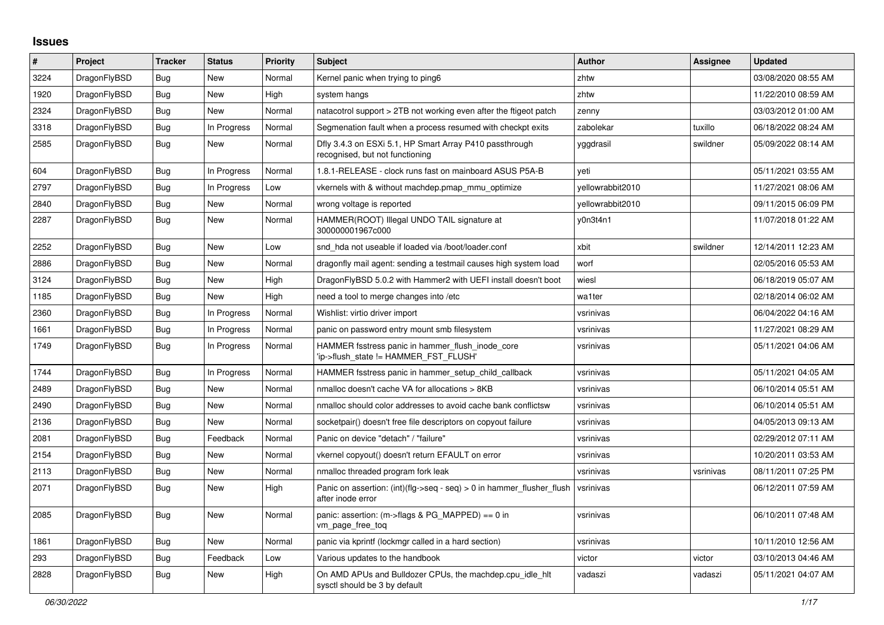## **Issues**

| #    | Project      | <b>Tracker</b> | <b>Status</b> | <b>Priority</b> | <b>Subject</b>                                                                                | <b>Author</b>    | Assignee  | <b>Updated</b>      |
|------|--------------|----------------|---------------|-----------------|-----------------------------------------------------------------------------------------------|------------------|-----------|---------------------|
| 3224 | DragonFlyBSD | Bug            | <b>New</b>    | Normal          | Kernel panic when trying to ping6                                                             | zhtw             |           | 03/08/2020 08:55 AM |
| 1920 | DragonFlyBSD | Bug            | New           | High            | system hangs                                                                                  | zhtw             |           | 11/22/2010 08:59 AM |
| 2324 | DragonFlyBSD | <b>Bug</b>     | New           | Normal          | natacotrol support > 2TB not working even after the ftigeot patch                             | zenny            |           | 03/03/2012 01:00 AM |
| 3318 | DragonFlyBSD | Bug            | In Progress   | Normal          | Segmenation fault when a process resumed with checkpt exits                                   | zabolekar        | tuxillo   | 06/18/2022 08:24 AM |
| 2585 | DragonFlyBSD | Bug            | <b>New</b>    | Normal          | Dfly 3.4.3 on ESXi 5.1, HP Smart Array P410 passthrough<br>recognised, but not functioning    | yggdrasil        | swildner  | 05/09/2022 08:14 AM |
| 604  | DragonFlyBSD | <b>Bug</b>     | In Progress   | Normal          | 1.8.1-RELEASE - clock runs fast on mainboard ASUS P5A-B                                       | yeti             |           | 05/11/2021 03:55 AM |
| 2797 | DragonFlyBSD | Bug            | In Progress   | Low             | vkernels with & without machdep.pmap_mmu_optimize                                             | yellowrabbit2010 |           | 11/27/2021 08:06 AM |
| 2840 | DragonFlyBSD | Bug            | New           | Normal          | wrong voltage is reported                                                                     | yellowrabbit2010 |           | 09/11/2015 06:09 PM |
| 2287 | DragonFlyBSD | Bug            | New           | Normal          | HAMMER(ROOT) Illegal UNDO TAIL signature at<br>300000001967c000                               | y0n3t4n1         |           | 11/07/2018 01:22 AM |
| 2252 | DragonFlyBSD | <b>Bug</b>     | <b>New</b>    | Low             | snd hda not useable if loaded via /boot/loader.conf                                           | xbit             | swildner  | 12/14/2011 12:23 AM |
| 2886 | DragonFlyBSD | <b>Bug</b>     | <b>New</b>    | Normal          | dragonfly mail agent: sending a testmail causes high system load                              | worf             |           | 02/05/2016 05:53 AM |
| 3124 | DragonFlyBSD | <b>Bug</b>     | <b>New</b>    | High            | DragonFlyBSD 5.0.2 with Hammer2 with UEFI install doesn't boot                                | wiesl            |           | 06/18/2019 05:07 AM |
| 1185 | DragonFlyBSD | Bug            | New           | High            | need a tool to merge changes into /etc                                                        | wa1ter           |           | 02/18/2014 06:02 AM |
| 2360 | DragonFlyBSD | Bug            | In Progress   | Normal          | Wishlist: virtio driver import                                                                | vsrinivas        |           | 06/04/2022 04:16 AM |
| 1661 | DragonFlyBSD | Bug            | In Progress   | Normal          | panic on password entry mount smb filesystem                                                  | vsrinivas        |           | 11/27/2021 08:29 AM |
| 1749 | DragonFlyBSD | Bug            | In Progress   | Normal          | HAMMER fsstress panic in hammer flush inode core<br>'ip->flush_state != HAMMER_FST_FLUSH'     | vsrinivas        |           | 05/11/2021 04:06 AM |
| 1744 | DragonFlyBSD | <b>Bug</b>     | In Progress   | Normal          | HAMMER fsstress panic in hammer setup child callback                                          | vsrinivas        |           | 05/11/2021 04:05 AM |
| 2489 | DragonFlyBSD | Bug            | <b>New</b>    | Normal          | nmalloc doesn't cache VA for allocations > 8KB                                                | vsrinivas        |           | 06/10/2014 05:51 AM |
| 2490 | DragonFlyBSD | <b>Bug</b>     | New           | Normal          | nmalloc should color addresses to avoid cache bank conflictsw                                 | vsrinivas        |           | 06/10/2014 05:51 AM |
| 2136 | DragonFlyBSD | Bug            | <b>New</b>    | Normal          | socketpair() doesn't free file descriptors on copyout failure                                 | vsrinivas        |           | 04/05/2013 09:13 AM |
| 2081 | DragonFlyBSD | Bug            | Feedback      | Normal          | Panic on device "detach" / "failure"                                                          | vsrinivas        |           | 02/29/2012 07:11 AM |
| 2154 | DragonFlyBSD | Bug            | <b>New</b>    | Normal          | vkernel copyout() doesn't return EFAULT on error                                              | vsrinivas        |           | 10/20/2011 03:53 AM |
| 2113 | DragonFlyBSD | Bug            | <b>New</b>    | Normal          | nmalloc threaded program fork leak                                                            | vsrinivas        | vsrinivas | 08/11/2011 07:25 PM |
| 2071 | DragonFlyBSD | <b>Bug</b>     | <b>New</b>    | High            | Panic on assertion: $(int)(flag->seq - seq) > 0$ in hammer flusher flush<br>after inode error | vsrinivas        |           | 06/12/2011 07:59 AM |
| 2085 | DragonFlyBSD | Bug            | <b>New</b>    | Normal          | panic: assertion: $(m\rightarrow$ flags & PG MAPPED) == 0 in<br>vm page free tog              | vsrinivas        |           | 06/10/2011 07:48 AM |
| 1861 | DragonFlyBSD | <b>Bug</b>     | <b>New</b>    | Normal          | panic via kprintf (lockmgr called in a hard section)                                          | vsrinivas        |           | 10/11/2010 12:56 AM |
| 293  | DragonFlyBSD | <b>Bug</b>     | Feedback      | Low             | Various updates to the handbook                                                               | victor           | victor    | 03/10/2013 04:46 AM |
| 2828 | DragonFlyBSD | <b>Bug</b>     | <b>New</b>    | High            | On AMD APUs and Bulldozer CPUs, the machdep.cpu_idle_hlt<br>sysctl should be 3 by default     | vadaszi          | vadaszi   | 05/11/2021 04:07 AM |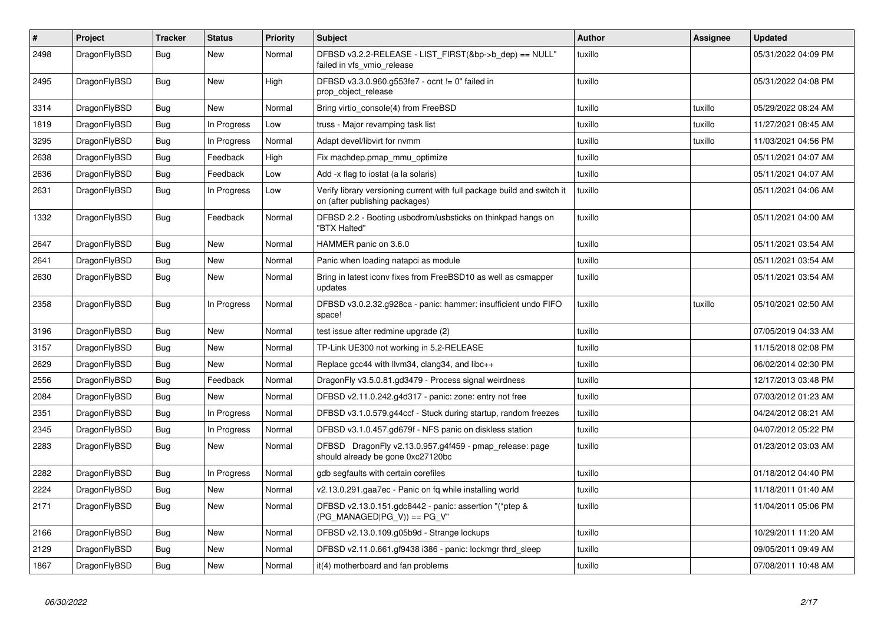| $\vert$ # | Project      | <b>Tracker</b> | <b>Status</b> | <b>Priority</b> | <b>Subject</b>                                                                                            | <b>Author</b> | Assignee | <b>Updated</b>      |
|-----------|--------------|----------------|---------------|-----------------|-----------------------------------------------------------------------------------------------------------|---------------|----------|---------------------|
| 2498      | DragonFlyBSD | Bug            | <b>New</b>    | Normal          | DFBSD v3.2.2-RELEASE - LIST FIRST(&bp->b dep) == NULL"<br>failed in vfs_vmio_release                      | tuxillo       |          | 05/31/2022 04:09 PM |
| 2495      | DragonFlyBSD | Bug            | <b>New</b>    | High            | DFBSD v3.3.0.960.g553fe7 - ocnt != 0" failed in<br>prop object release                                    | tuxillo       |          | 05/31/2022 04:08 PM |
| 3314      | DragonFlyBSD | <b>Bug</b>     | <b>New</b>    | Normal          | Bring virtio console(4) from FreeBSD                                                                      | tuxillo       | tuxillo  | 05/29/2022 08:24 AM |
| 1819      | DragonFlyBSD | Bug            | In Progress   | Low             | truss - Major revamping task list                                                                         | tuxillo       | tuxillo  | 11/27/2021 08:45 AM |
| 3295      | DragonFlyBSD | <b>Bug</b>     | In Progress   | Normal          | Adapt devel/libvirt for nvmm                                                                              | tuxillo       | tuxillo  | 11/03/2021 04:56 PM |
| 2638      | DragonFlyBSD | <b>Bug</b>     | Feedback      | High            | Fix machdep.pmap_mmu_optimize                                                                             | tuxillo       |          | 05/11/2021 04:07 AM |
| 2636      | DragonFlyBSD | Bug            | Feedback      | Low             | Add -x flag to iostat (a la solaris)                                                                      | tuxillo       |          | 05/11/2021 04:07 AM |
| 2631      | DragonFlyBSD | <b>Bug</b>     | In Progress   | Low             | Verify library versioning current with full package build and switch it<br>on (after publishing packages) | tuxillo       |          | 05/11/2021 04:06 AM |
| 1332      | DragonFlyBSD | <b>Bug</b>     | Feedback      | Normal          | DFBSD 2.2 - Booting usbcdrom/usbsticks on thinkpad hangs on<br>"BTX Halted"                               | tuxillo       |          | 05/11/2021 04:00 AM |
| 2647      | DragonFlyBSD | <b>Bug</b>     | <b>New</b>    | Normal          | HAMMER panic on 3.6.0                                                                                     | tuxillo       |          | 05/11/2021 03:54 AM |
| 2641      | DragonFlyBSD | Bug            | <b>New</b>    | Normal          | Panic when loading natapci as module                                                                      | tuxillo       |          | 05/11/2021 03:54 AM |
| 2630      | DragonFlyBSD | <b>Bug</b>     | New           | Normal          | Bring in latest iconv fixes from FreeBSD10 as well as csmapper<br>updates                                 | tuxillo       |          | 05/11/2021 03:54 AM |
| 2358      | DragonFlyBSD | Bug            | In Progress   | Normal          | DFBSD v3.0.2.32.g928ca - panic: hammer: insufficient undo FIFO<br>space!                                  | tuxillo       | tuxillo  | 05/10/2021 02:50 AM |
| 3196      | DragonFlyBSD | <b>Bug</b>     | <b>New</b>    | Normal          | test issue after redmine upgrade (2)                                                                      | tuxillo       |          | 07/05/2019 04:33 AM |
| 3157      | DragonFlyBSD | Bug            | New           | Normal          | TP-Link UE300 not working in 5.2-RELEASE                                                                  | tuxillo       |          | 11/15/2018 02:08 PM |
| 2629      | DragonFlyBSD | <b>Bug</b>     | New           | Normal          | Replace gcc44 with llvm34, clang34, and libc++                                                            | tuxillo       |          | 06/02/2014 02:30 PM |
| 2556      | DragonFlyBSD | <b>Bug</b>     | Feedback      | Normal          | DragonFly v3.5.0.81.gd3479 - Process signal weirdness                                                     | tuxillo       |          | 12/17/2013 03:48 PM |
| 2084      | DragonFlyBSD | Bug            | New           | Normal          | DFBSD v2.11.0.242.g4d317 - panic: zone: entry not free                                                    | tuxillo       |          | 07/03/2012 01:23 AM |
| 2351      | DragonFlyBSD | <b>Bug</b>     | In Progress   | Normal          | DFBSD v3.1.0.579.g44ccf - Stuck during startup, random freezes                                            | tuxillo       |          | 04/24/2012 08:21 AM |
| 2345      | DragonFlyBSD | <b>Bug</b>     | In Progress   | Normal          | DFBSD v3.1.0.457.gd679f - NFS panic on diskless station                                                   | tuxillo       |          | 04/07/2012 05:22 PM |
| 2283      | DragonFlyBSD | <b>Bug</b>     | New           | Normal          | DFBSD DragonFly v2.13.0.957.g4f459 - pmap_release: page<br>should already be gone 0xc27120bc              | tuxillo       |          | 01/23/2012 03:03 AM |
| 2282      | DragonFlyBSD | <b>Bug</b>     | In Progress   | Normal          | gdb segfaults with certain corefiles                                                                      | tuxillo       |          | 01/18/2012 04:40 PM |
| 2224      | DragonFlyBSD | Bug            | New           | Normal          | v2.13.0.291.gaa7ec - Panic on fq while installing world                                                   | tuxillo       |          | 11/18/2011 01:40 AM |
| 2171      | DragonFlyBSD | Bug            | New           | Normal          | DFBSD v2.13.0.151.gdc8442 - panic: assertion "(*ptep &<br>(PG_MANAGED PG_V)) == PG_V"                     | tuxillo       |          | 11/04/2011 05:06 PM |
| 2166      | DragonFlyBSD | <b>Bug</b>     | <b>New</b>    | Normal          | DFBSD v2.13.0.109.g05b9d - Strange lockups                                                                | tuxillo       |          | 10/29/2011 11:20 AM |
| 2129      | DragonFlyBSD | Bug            | New           | Normal          | DFBSD v2.11.0.661.gf9438 i386 - panic: lockmgr thrd_sleep                                                 | tuxillo       |          | 09/05/2011 09:49 AM |
| 1867      | DragonFlyBSD | Bug            | New           | Normal          | it(4) motherboard and fan problems                                                                        | tuxillo       |          | 07/08/2011 10:48 AM |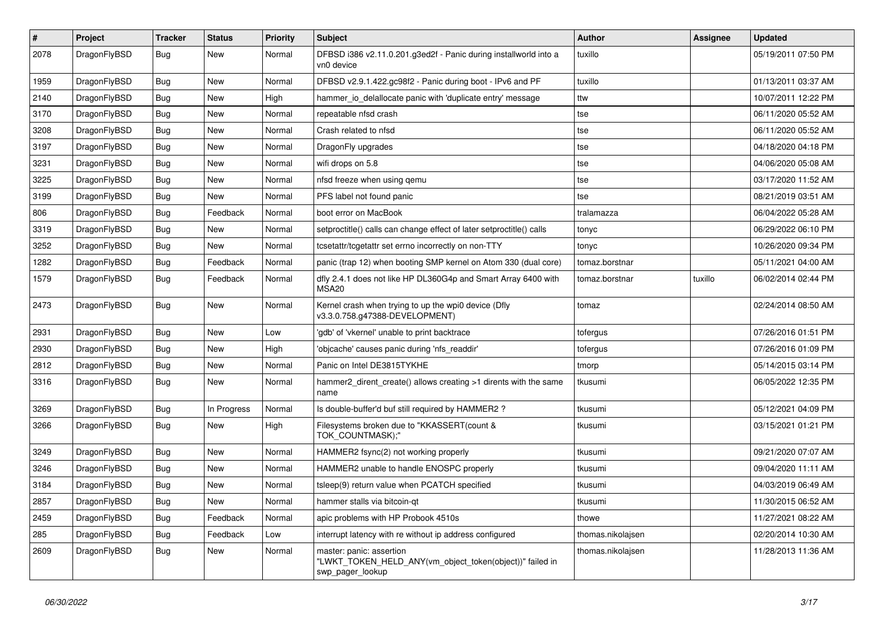| #    | Project      | <b>Tracker</b> | <b>Status</b> | <b>Priority</b> | Subject                                                                                                  | Author            | Assignee | <b>Updated</b>      |
|------|--------------|----------------|---------------|-----------------|----------------------------------------------------------------------------------------------------------|-------------------|----------|---------------------|
| 2078 | DragonFlyBSD | Bug            | New           | Normal          | DFBSD i386 v2.11.0.201.g3ed2f - Panic during installworld into a<br>vn0 device                           | tuxillo           |          | 05/19/2011 07:50 PM |
| 1959 | DragonFlyBSD | <b>Bug</b>     | <b>New</b>    | Normal          | DFBSD v2.9.1.422.gc98f2 - Panic during boot - IPv6 and PF                                                | tuxillo           |          | 01/13/2011 03:37 AM |
| 2140 | DragonFlyBSD | <b>Bug</b>     | <b>New</b>    | High            | hammer_io_delallocate panic with 'duplicate entry' message                                               | ttw               |          | 10/07/2011 12:22 PM |
| 3170 | DragonFlyBSD | <b>Bug</b>     | <b>New</b>    | Normal          | repeatable nfsd crash                                                                                    | tse               |          | 06/11/2020 05:52 AM |
| 3208 | DragonFlyBSD | <b>Bug</b>     | New           | Normal          | Crash related to nfsd                                                                                    | tse               |          | 06/11/2020 05:52 AM |
| 3197 | DragonFlyBSD | <b>Bug</b>     | <b>New</b>    | Normal          | DragonFly upgrades                                                                                       | tse               |          | 04/18/2020 04:18 PM |
| 3231 | DragonFlyBSD | Bug            | New           | Normal          | wifi drops on 5.8                                                                                        | tse               |          | 04/06/2020 05:08 AM |
| 3225 | DragonFlyBSD | Bug            | New           | Normal          | nfsd freeze when using qemu                                                                              | tse               |          | 03/17/2020 11:52 AM |
| 3199 | DragonFlyBSD | Bug            | <b>New</b>    | Normal          | PFS label not found panic                                                                                | tse               |          | 08/21/2019 03:51 AM |
| 806  | DragonFlyBSD | <b>Bug</b>     | Feedback      | Normal          | boot error on MacBook                                                                                    | tralamazza        |          | 06/04/2022 05:28 AM |
| 3319 | DragonFlyBSD | <b>Bug</b>     | <b>New</b>    | Normal          | setproctitle() calls can change effect of later setproctitle() calls                                     | tonyc             |          | 06/29/2022 06:10 PM |
| 3252 | DragonFlyBSD | Bug            | New           | Normal          | tcsetattr/tcgetattr set errno incorrectly on non-TTY                                                     | tonyc             |          | 10/26/2020 09:34 PM |
| 1282 | DragonFlyBSD | Bug            | Feedback      | Normal          | panic (trap 12) when booting SMP kernel on Atom 330 (dual core)                                          | tomaz.borstnar    |          | 05/11/2021 04:00 AM |
| 1579 | DragonFlyBSD | Bug            | Feedback      | Normal          | dfly 2.4.1 does not like HP DL360G4p and Smart Array 6400 with<br>MSA <sub>20</sub>                      | tomaz.borstnar    | tuxillo  | 06/02/2014 02:44 PM |
| 2473 | DragonFlyBSD | Bug            | <b>New</b>    | Normal          | Kernel crash when trying to up the wpi0 device (Dfly<br>v3.3.0.758.g47388-DEVELOPMENT)                   | tomaz             |          | 02/24/2014 08:50 AM |
| 2931 | DragonFlyBSD | <b>Bug</b>     | New           | Low             | 'gdb' of 'vkernel' unable to print backtrace                                                             | tofergus          |          | 07/26/2016 01:51 PM |
| 2930 | DragonFlyBSD | <b>Bug</b>     | <b>New</b>    | High            | 'objcache' causes panic during 'nfs_readdir'                                                             | tofergus          |          | 07/26/2016 01:09 PM |
| 2812 | DragonFlyBSD | <b>Bug</b>     | <b>New</b>    | Normal          | Panic on Intel DE3815TYKHE                                                                               | tmorp             |          | 05/14/2015 03:14 PM |
| 3316 | DragonFlyBSD | Bug            | New           | Normal          | hammer2_dirent_create() allows creating >1 dirents with the same<br>name                                 | tkusumi           |          | 06/05/2022 12:35 PM |
| 3269 | DragonFlyBSD | Bug            | In Progress   | Normal          | Is double-buffer'd buf still required by HAMMER2?                                                        | tkusumi           |          | 05/12/2021 04:09 PM |
| 3266 | DragonFlyBSD | Bug            | New           | High            | Filesystems broken due to "KKASSERT(count &<br>TOK_COUNTMASK);"                                          | tkusumi           |          | 03/15/2021 01:21 PM |
| 3249 | DragonFlyBSD | <b>Bug</b>     | <b>New</b>    | Normal          | HAMMER2 fsync(2) not working properly                                                                    | tkusumi           |          | 09/21/2020 07:07 AM |
| 3246 | DragonFlyBSD | <b>Bug</b>     | <b>New</b>    | Normal          | HAMMER2 unable to handle ENOSPC properly                                                                 | tkusumi           |          | 09/04/2020 11:11 AM |
| 3184 | DragonFlyBSD | Bug            | <b>New</b>    | Normal          | tsleep(9) return value when PCATCH specified                                                             | tkusumi           |          | 04/03/2019 06:49 AM |
| 2857 | DragonFlyBSD | <b>Bug</b>     | New           | Normal          | hammer stalls via bitcoin-qt                                                                             | tkusumi           |          | 11/30/2015 06:52 AM |
| 2459 | DragonFlyBSD | Bug            | Feedback      | Normal          | apic problems with HP Probook 4510s                                                                      | thowe             |          | 11/27/2021 08:22 AM |
| 285  | DragonFlyBSD | <b>Bug</b>     | Feedback      | Low             | interrupt latency with re without ip address configured                                                  | thomas.nikolajsen |          | 02/20/2014 10:30 AM |
| 2609 | DragonFlyBSD | Bug            | New           | Normal          | master: panic: assertion<br>"LWKT_TOKEN_HELD_ANY(vm_object_token(object))" failed in<br>swp pager lookup | thomas.nikolajsen |          | 11/28/2013 11:36 AM |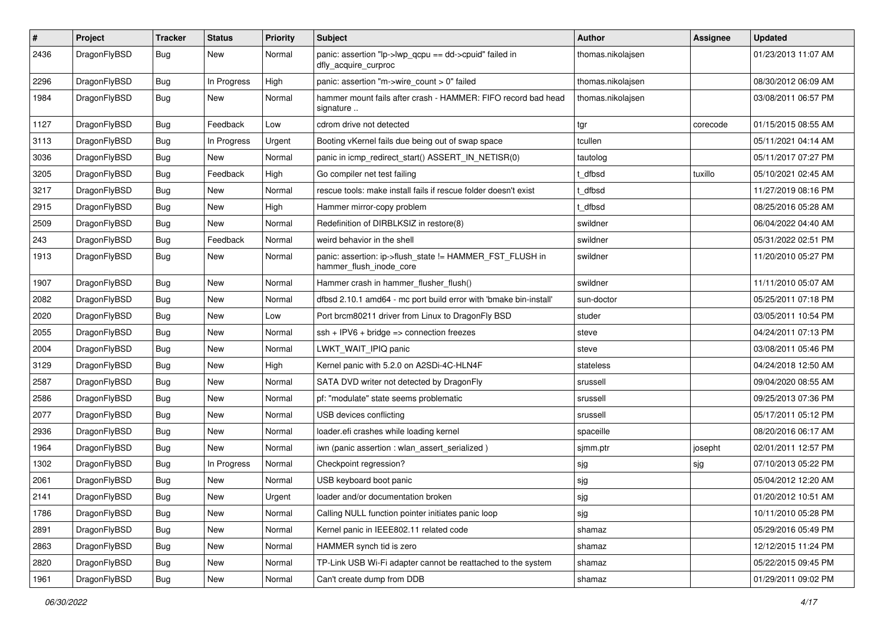| #    | Project      | <b>Tracker</b> | <b>Status</b> | <b>Priority</b> | Subject                                                                             | <b>Author</b>     | Assignee | <b>Updated</b>      |
|------|--------------|----------------|---------------|-----------------|-------------------------------------------------------------------------------------|-------------------|----------|---------------------|
| 2436 | DragonFlyBSD | <b>Bug</b>     | New           | Normal          | panic: assertion "lp->lwp_qcpu == dd->cpuid" failed in<br>dfly_acquire_curproc      | thomas.nikolajsen |          | 01/23/2013 11:07 AM |
| 2296 | DragonFlyBSD | <b>Bug</b>     | In Progress   | High            | panic: assertion "m->wire_count > 0" failed                                         | thomas.nikolajsen |          | 08/30/2012 06:09 AM |
| 1984 | DragonFlyBSD | <b>Bug</b>     | <b>New</b>    | Normal          | hammer mount fails after crash - HAMMER: FIFO record bad head<br>signature          | thomas.nikolajsen |          | 03/08/2011 06:57 PM |
| 1127 | DragonFlyBSD | Bug            | Feedback      | Low             | cdrom drive not detected                                                            | tgr               | corecode | 01/15/2015 08:55 AM |
| 3113 | DragonFlyBSD | <b>Bug</b>     | In Progress   | Urgent          | Booting vKernel fails due being out of swap space                                   | tcullen           |          | 05/11/2021 04:14 AM |
| 3036 | DragonFlyBSD | <b>Bug</b>     | New           | Normal          | panic in icmp redirect start() ASSERT IN NETISR(0)                                  | tautolog          |          | 05/11/2017 07:27 PM |
| 3205 | DragonFlyBSD | <b>Bug</b>     | Feedback      | High            | Go compiler net test failing                                                        | : dfbsd           | tuxillo  | 05/10/2021 02:45 AM |
| 3217 | DragonFlyBSD | <b>Bug</b>     | New           | Normal          | rescue tools: make install fails if rescue folder doesn't exist                     | t_dfbsd           |          | 11/27/2019 08:16 PM |
| 2915 | DragonFlyBSD | <b>Bug</b>     | New           | High            | Hammer mirror-copy problem                                                          | : dfbsd           |          | 08/25/2016 05:28 AM |
| 2509 | DragonFlyBSD | <b>Bug</b>     | New           | Normal          | Redefinition of DIRBLKSIZ in restore(8)                                             | swildner          |          | 06/04/2022 04:40 AM |
| 243  | DragonFlyBSD | <b>Bug</b>     | Feedback      | Normal          | weird behavior in the shell                                                         | swildner          |          | 05/31/2022 02:51 PM |
| 1913 | DragonFlyBSD | <b>Bug</b>     | <b>New</b>    | Normal          | panic: assertion: ip->flush_state != HAMMER_FST_FLUSH in<br>hammer_flush_inode_core | swildner          |          | 11/20/2010 05:27 PM |
| 1907 | DragonFlyBSD | <b>Bug</b>     | <b>New</b>    | Normal          | Hammer crash in hammer_flusher_flush()                                              | swildner          |          | 11/11/2010 05:07 AM |
| 2082 | DragonFlyBSD | <b>Bug</b>     | New           | Normal          | dfbsd 2.10.1 amd64 - mc port build error with 'bmake bin-install'                   | sun-doctor        |          | 05/25/2011 07:18 PM |
| 2020 | DragonFlyBSD | Bug            | New           | Low             | Port brcm80211 driver from Linux to DragonFly BSD                                   | studer            |          | 03/05/2011 10:54 PM |
| 2055 | DragonFlyBSD | <b>Bug</b>     | New           | Normal          | $ssh + IPV6 + bridge \Rightarrow connection freezes$                                | steve             |          | 04/24/2011 07:13 PM |
| 2004 | DragonFlyBSD | <b>Bug</b>     | New           | Normal          | LWKT_WAIT_IPIQ panic                                                                | steve             |          | 03/08/2011 05:46 PM |
| 3129 | DragonFlyBSD | Bug            | <b>New</b>    | High            | Kernel panic with 5.2.0 on A2SDi-4C-HLN4F                                           | stateless         |          | 04/24/2018 12:50 AM |
| 2587 | DragonFlyBSD | <b>Bug</b>     | New           | Normal          | SATA DVD writer not detected by DragonFly                                           | srussell          |          | 09/04/2020 08:55 AM |
| 2586 | DragonFlyBSD | Bug            | New           | Normal          | pf: "modulate" state seems problematic                                              | srussell          |          | 09/25/2013 07:36 PM |
| 2077 | DragonFlyBSD | <b>Bug</b>     | New           | Normal          | USB devices conflicting                                                             | srussell          |          | 05/17/2011 05:12 PM |
| 2936 | DragonFlyBSD | <b>Bug</b>     | New           | Normal          | loader.efi crashes while loading kernel                                             | spaceille         |          | 08/20/2016 06:17 AM |
| 1964 | DragonFlyBSD | <b>Bug</b>     | New           | Normal          | iwn (panic assertion : wlan_assert_serialized)                                      | sjmm.ptr          | josepht  | 02/01/2011 12:57 PM |
| 1302 | DragonFlyBSD | <b>Bug</b>     | In Progress   | Normal          | Checkpoint regression?                                                              | sjg               | sjg      | 07/10/2013 05:22 PM |
| 2061 | DragonFlyBSD | Bug            | New           | Normal          | USB keyboard boot panic                                                             | sjg               |          | 05/04/2012 12:20 AM |
| 2141 | DragonFlyBSD | Bug            | New           | Urgent          | loader and/or documentation broken                                                  | sjg               |          | 01/20/2012 10:51 AM |
| 1786 | DragonFlyBSD | <b>Bug</b>     | <b>New</b>    | Normal          | Calling NULL function pointer initiates panic loop                                  | sjg               |          | 10/11/2010 05:28 PM |
| 2891 | DragonFlyBSD | <b>Bug</b>     | <b>New</b>    | Normal          | Kernel panic in IEEE802.11 related code                                             | shamaz            |          | 05/29/2016 05:49 PM |
| 2863 | DragonFlyBSD | <b>Bug</b>     | New           | Normal          | HAMMER synch tid is zero                                                            | shamaz            |          | 12/12/2015 11:24 PM |
| 2820 | DragonFlyBSD | <b>Bug</b>     | New           | Normal          | TP-Link USB Wi-Fi adapter cannot be reattached to the system                        | shamaz            |          | 05/22/2015 09:45 PM |
| 1961 | DragonFlyBSD | <b>Bug</b>     | New           | Normal          | Can't create dump from DDB                                                          | shamaz            |          | 01/29/2011 09:02 PM |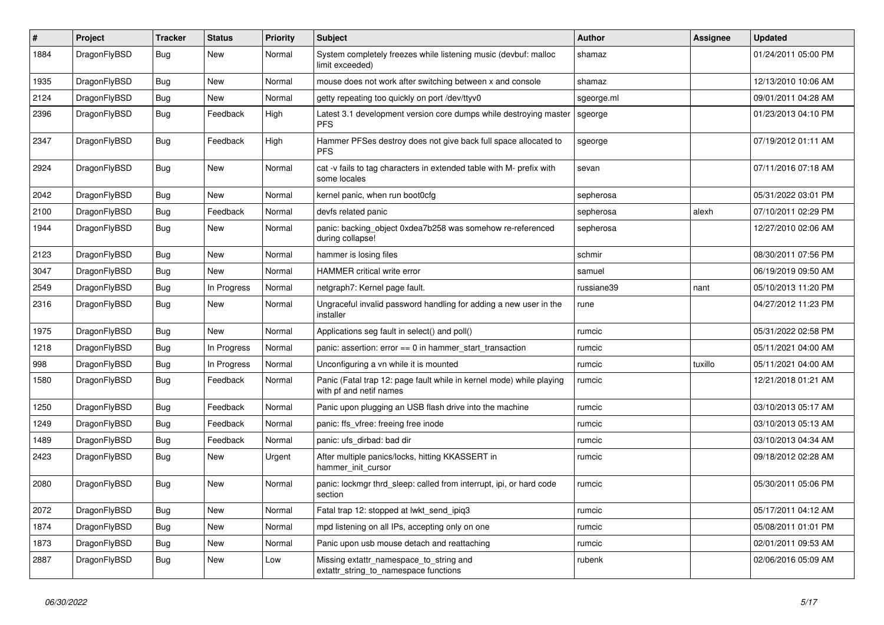| $\#$ | Project      | <b>Tracker</b> | <b>Status</b> | <b>Priority</b> | <b>Subject</b>                                                                                  | <b>Author</b> | Assignee | <b>Updated</b>      |
|------|--------------|----------------|---------------|-----------------|-------------------------------------------------------------------------------------------------|---------------|----------|---------------------|
| 1884 | DragonFlyBSD | Bug            | <b>New</b>    | Normal          | System completely freezes while listening music (devbuf: malloc<br>limit exceeded)              | shamaz        |          | 01/24/2011 05:00 PM |
| 1935 | DragonFlyBSD | Bug            | <b>New</b>    | Normal          | mouse does not work after switching between x and console                                       | shamaz        |          | 12/13/2010 10:06 AM |
| 2124 | DragonFlyBSD | <b>Bug</b>     | <b>New</b>    | Normal          | getty repeating too quickly on port /dev/ttyv0                                                  | sgeorge.ml    |          | 09/01/2011 04:28 AM |
| 2396 | DragonFlyBSD | <b>Bug</b>     | Feedback      | High            | Latest 3.1 development version core dumps while destroying master<br><b>PFS</b>                 | sgeorge       |          | 01/23/2013 04:10 PM |
| 2347 | DragonFlyBSD | <b>Bug</b>     | Feedback      | High            | Hammer PFSes destroy does not give back full space allocated to<br><b>PFS</b>                   | sgeorge       |          | 07/19/2012 01:11 AM |
| 2924 | DragonFlyBSD | Bug            | <b>New</b>    | Normal          | cat -v fails to tag characters in extended table with M- prefix with<br>some locales            | sevan         |          | 07/11/2016 07:18 AM |
| 2042 | DragonFlyBSD | <b>Bug</b>     | <b>New</b>    | Normal          | kernel panic, when run boot0cfg                                                                 | sepherosa     |          | 05/31/2022 03:01 PM |
| 2100 | DragonFlyBSD | <b>Bug</b>     | Feedback      | Normal          | devfs related panic                                                                             | sepherosa     | alexh    | 07/10/2011 02:29 PM |
| 1944 | DragonFlyBSD | <b>Bug</b>     | <b>New</b>    | Normal          | panic: backing object 0xdea7b258 was somehow re-referenced<br>during collapse!                  | sepherosa     |          | 12/27/2010 02:06 AM |
| 2123 | DragonFlyBSD | Bug            | <b>New</b>    | Normal          | hammer is losing files                                                                          | schmir        |          | 08/30/2011 07:56 PM |
| 3047 | DragonFlyBSD | Bug            | New           | Normal          | HAMMER critical write error                                                                     | samuel        |          | 06/19/2019 09:50 AM |
| 2549 | DragonFlyBSD | Bug            | In Progress   | Normal          | netgraph7: Kernel page fault.                                                                   | russiane39    | nant     | 05/10/2013 11:20 PM |
| 2316 | DragonFlyBSD | <b>Bug</b>     | <b>New</b>    | Normal          | Ungraceful invalid password handling for adding a new user in the<br>installer                  | rune          |          | 04/27/2012 11:23 PM |
| 1975 | DragonFlyBSD | <b>Bug</b>     | <b>New</b>    | Normal          | Applications seg fault in select() and poll()                                                   | rumcic        |          | 05/31/2022 02:58 PM |
| 1218 | DragonFlyBSD | <b>Bug</b>     | In Progress   | Normal          | panic: assertion: $error == 0$ in hammer start transaction                                      | rumcic        |          | 05/11/2021 04:00 AM |
| 998  | DragonFlyBSD | <b>Bug</b>     | In Progress   | Normal          | Unconfiguring a vn while it is mounted                                                          | rumcic        | tuxillo  | 05/11/2021 04:00 AM |
| 1580 | DragonFlyBSD | <b>Bug</b>     | Feedback      | Normal          | Panic (Fatal trap 12: page fault while in kernel mode) while playing<br>with pf and netif names | rumcic        |          | 12/21/2018 01:21 AM |
| 1250 | DragonFlyBSD | Bug            | Feedback      | Normal          | Panic upon plugging an USB flash drive into the machine                                         | rumcic        |          | 03/10/2013 05:17 AM |
| 1249 | DragonFlyBSD | Bug            | Feedback      | Normal          | panic: ffs vfree: freeing free inode                                                            | rumcic        |          | 03/10/2013 05:13 AM |
| 1489 | DragonFlyBSD | Bug            | Feedback      | Normal          | panic: ufs dirbad: bad dir                                                                      | rumcic        |          | 03/10/2013 04:34 AM |
| 2423 | DragonFlyBSD | <b>Bug</b>     | <b>New</b>    | Urgent          | After multiple panics/locks, hitting KKASSERT in<br>hammer init cursor                          | rumcic        |          | 09/18/2012 02:28 AM |
| 2080 | DragonFlyBSD | Bug            | New           | Normal          | panic: lockmgr thrd sleep: called from interrupt, ipi, or hard code<br>section                  | rumcic        |          | 05/30/2011 05:06 PM |
| 2072 | DragonFlyBSD | <b>Bug</b>     | <b>New</b>    | Normal          | Fatal trap 12: stopped at lwkt_send_ipiq3                                                       | rumcic        |          | 05/17/2011 04:12 AM |
| 1874 | DragonFlyBSD | <b>Bug</b>     | <b>New</b>    | Normal          | mpd listening on all IPs, accepting only on one                                                 | rumcic        |          | 05/08/2011 01:01 PM |
| 1873 | DragonFlyBSD | Bug            | <b>New</b>    | Normal          | Panic upon usb mouse detach and reattaching                                                     | rumcic        |          | 02/01/2011 09:53 AM |
| 2887 | DragonFlyBSD | Bug            | <b>New</b>    | Low             | Missing extattr namespace to string and<br>extattr_string_to_namespace functions                | rubenk        |          | 02/06/2016 05:09 AM |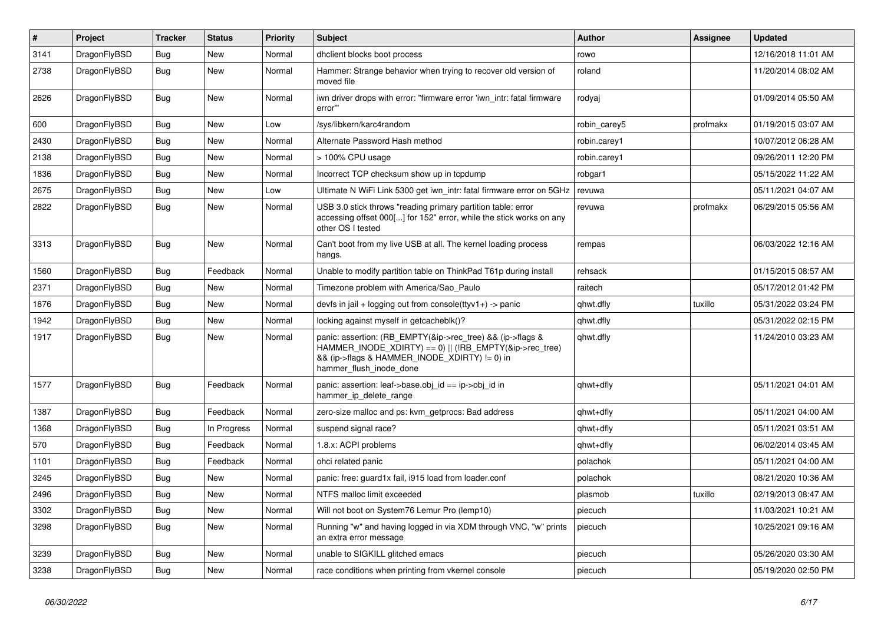| $\vert$ # | Project      | <b>Tracker</b> | <b>Status</b> | <b>Priority</b> | <b>Subject</b>                                                                                                                                                                                    | <b>Author</b> | Assignee | <b>Updated</b>      |
|-----------|--------------|----------------|---------------|-----------------|---------------------------------------------------------------------------------------------------------------------------------------------------------------------------------------------------|---------------|----------|---------------------|
| 3141      | DragonFlyBSD | Bug            | <b>New</b>    | Normal          | dhclient blocks boot process                                                                                                                                                                      | rowo          |          | 12/16/2018 11:01 AM |
| 2738      | DragonFlyBSD | <b>Bug</b>     | <b>New</b>    | Normal          | Hammer: Strange behavior when trying to recover old version of<br>moved file                                                                                                                      | roland        |          | 11/20/2014 08:02 AM |
| 2626      | DragonFlyBSD | Bug            | New           | Normal          | iwn driver drops with error: "firmware error 'iwn intr: fatal firmware<br>error"                                                                                                                  | rodyaj        |          | 01/09/2014 05:50 AM |
| 600       | DragonFlyBSD | Bug            | <b>New</b>    | Low             | /sys/libkern/karc4random                                                                                                                                                                          | robin_carey5  | profmakx | 01/19/2015 03:07 AM |
| 2430      | DragonFlyBSD | Bug            | <b>New</b>    | Normal          | Alternate Password Hash method                                                                                                                                                                    | robin.carey1  |          | 10/07/2012 06:28 AM |
| 2138      | DragonFlyBSD | Bug            | New           | Normal          | > 100% CPU usage                                                                                                                                                                                  | robin.carey1  |          | 09/26/2011 12:20 PM |
| 1836      | DragonFlyBSD | Bug            | New           | Normal          | Incorrect TCP checksum show up in tcpdump                                                                                                                                                         | robgar1       |          | 05/15/2022 11:22 AM |
| 2675      | DragonFlyBSD | Bug            | New           | Low             | Ultimate N WiFi Link 5300 get iwn intr: fatal firmware error on 5GHz                                                                                                                              | revuwa        |          | 05/11/2021 04:07 AM |
| 2822      | DragonFlyBSD | Bug            | New           | Normal          | USB 3.0 stick throws "reading primary partition table: error<br>accessing offset 000[] for 152" error, while the stick works on any<br>other OS I tested                                          | revuwa        | profmakx | 06/29/2015 05:56 AM |
| 3313      | DragonFlyBSD | <b>Bug</b>     | <b>New</b>    | Normal          | Can't boot from my live USB at all. The kernel loading process<br>hangs.                                                                                                                          | rempas        |          | 06/03/2022 12:16 AM |
| 1560      | DragonFlyBSD | Bug            | Feedback      | Normal          | Unable to modify partition table on ThinkPad T61p during install                                                                                                                                  | rehsack       |          | 01/15/2015 08:57 AM |
| 2371      | DragonFlyBSD | Bug            | New           | Normal          | Timezone problem with America/Sao Paulo                                                                                                                                                           | raitech       |          | 05/17/2012 01:42 PM |
| 1876      | DragonFlyBSD | Bug            | New           | Normal          | devfs in jail + logging out from console(ttyv1+) -> panic                                                                                                                                         | qhwt.dfly     | tuxillo  | 05/31/2022 03:24 PM |
| 1942      | DragonFlyBSD | Bug            | New           | Normal          | locking against myself in getcacheblk()?                                                                                                                                                          | qhwt.dfly     |          | 05/31/2022 02:15 PM |
| 1917      | DragonFlyBSD | Bug            | New           | Normal          | panic: assertion: (RB_EMPTY(&ip->rec_tree) && (ip->flags &<br>HAMMER_INODE_XDIRTY) == 0)    (!RB_EMPTY(&ip->rec_tree)<br>&& (ip->flags & HAMMER_INODE_XDIRTY) != 0) in<br>hammer flush inode done | qhwt.dfly     |          | 11/24/2010 03:23 AM |
| 1577      | DragonFlyBSD | <b>Bug</b>     | Feedback      | Normal          | panic: assertion: leaf->base.obj id == ip->obj id in<br>hammer ip delete range                                                                                                                    | qhwt+dfly     |          | 05/11/2021 04:01 AM |
| 1387      | DragonFlyBSD | Bug            | Feedback      | Normal          | zero-size malloc and ps: kvm_getprocs: Bad address                                                                                                                                                | qhwt+dfly     |          | 05/11/2021 04:00 AM |
| 1368      | DragonFlyBSD | Bug            | In Progress   | Normal          | suspend signal race?                                                                                                                                                                              | qhwt+dfly     |          | 05/11/2021 03:51 AM |
| 570       | DragonFlyBSD | Bug            | Feedback      | Normal          | 1.8.x: ACPI problems                                                                                                                                                                              | qhwt+dfly     |          | 06/02/2014 03:45 AM |
| 1101      | DragonFlyBSD | Bug            | Feedback      | Normal          | ohci related panic                                                                                                                                                                                | polachok      |          | 05/11/2021 04:00 AM |
| 3245      | DragonFlyBSD | Bug            | <b>New</b>    | Normal          | panic: free: guard1x fail, i915 load from loader.conf                                                                                                                                             | polachok      |          | 08/21/2020 10:36 AM |
| 2496      | DragonFlyBSD | Bug            | New           | Normal          | NTFS malloc limit exceeded                                                                                                                                                                        | plasmob       | tuxillo  | 02/19/2013 08:47 AM |
| 3302      | DragonFlyBSD | Bug            | <b>New</b>    | Normal          | Will not boot on System76 Lemur Pro (lemp10)                                                                                                                                                      | piecuch       |          | 11/03/2021 10:21 AM |
| 3298      | DragonFlyBSD | Bug            | <b>New</b>    | Normal          | Running "w" and having logged in via XDM through VNC, "w" prints<br>an extra error message                                                                                                        | piecuch       |          | 10/25/2021 09:16 AM |
| 3239      | DragonFlyBSD | Bug            | New           | Normal          | unable to SIGKILL glitched emacs                                                                                                                                                                  | piecuch       |          | 05/26/2020 03:30 AM |
| 3238      | DragonFlyBSD | Bug            | <b>New</b>    | Normal          | race conditions when printing from vkernel console                                                                                                                                                | piecuch       |          | 05/19/2020 02:50 PM |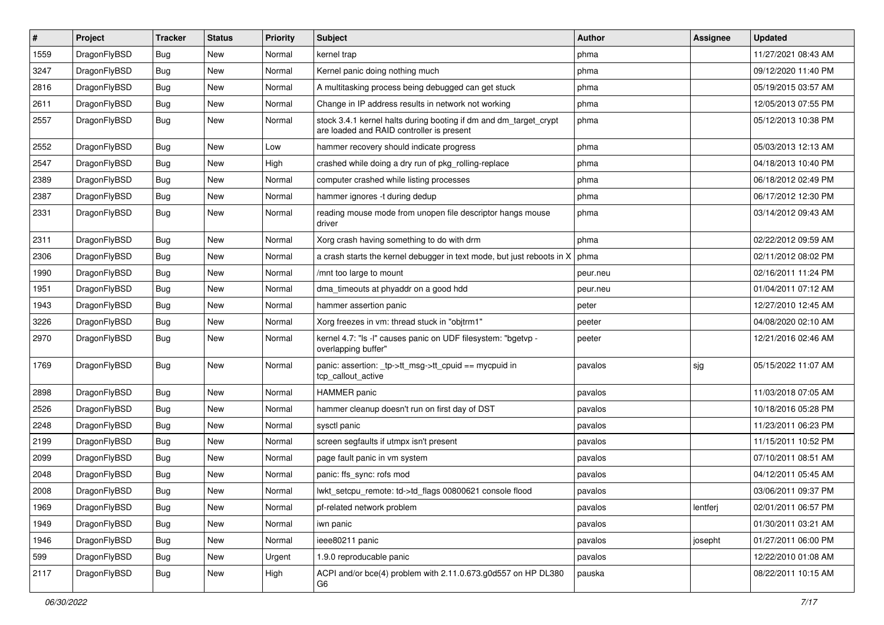| $\sharp$ | Project      | <b>Tracker</b> | <b>Status</b> | <b>Priority</b> | Subject                                                                                                        | <b>Author</b> | Assignee | <b>Updated</b>      |
|----------|--------------|----------------|---------------|-----------------|----------------------------------------------------------------------------------------------------------------|---------------|----------|---------------------|
| 1559     | DragonFlyBSD | <b>Bug</b>     | New           | Normal          | kernel trap                                                                                                    | phma          |          | 11/27/2021 08:43 AM |
| 3247     | DragonFlyBSD | Bug            | New           | Normal          | Kernel panic doing nothing much                                                                                | phma          |          | 09/12/2020 11:40 PM |
| 2816     | DragonFlyBSD | <b>Bug</b>     | New           | Normal          | A multitasking process being debugged can get stuck                                                            | phma          |          | 05/19/2015 03:57 AM |
| 2611     | DragonFlyBSD | <b>Bug</b>     | <b>New</b>    | Normal          | Change in IP address results in network not working                                                            | phma          |          | 12/05/2013 07:55 PM |
| 2557     | DragonFlyBSD | Bug            | New           | Normal          | stock 3.4.1 kernel halts during booting if dm and dm_target_crypt<br>are loaded and RAID controller is present | phma          |          | 05/12/2013 10:38 PM |
| 2552     | DragonFlyBSD | Bug            | New           | Low             | hammer recovery should indicate progress                                                                       | phma          |          | 05/03/2013 12:13 AM |
| 2547     | DragonFlyBSD | <b>Bug</b>     | <b>New</b>    | High            | crashed while doing a dry run of pkg rolling-replace                                                           | phma          |          | 04/18/2013 10:40 PM |
| 2389     | DragonFlyBSD | <b>Bug</b>     | New           | Normal          | computer crashed while listing processes                                                                       | phma          |          | 06/18/2012 02:49 PM |
| 2387     | DragonFlyBSD | <b>Bug</b>     | <b>New</b>    | Normal          | hammer ignores -t during dedup                                                                                 | phma          |          | 06/17/2012 12:30 PM |
| 2331     | DragonFlyBSD | <b>Bug</b>     | New           | Normal          | reading mouse mode from unopen file descriptor hangs mouse<br>driver                                           | phma          |          | 03/14/2012 09:43 AM |
| 2311     | DragonFlyBSD | Bug            | New           | Normal          | Xorg crash having something to do with drm                                                                     | phma          |          | 02/22/2012 09:59 AM |
| 2306     | DragonFlyBSD | <b>Bug</b>     | New           | Normal          | a crash starts the kernel debugger in text mode, but just reboots in X                                         | phma          |          | 02/11/2012 08:02 PM |
| 1990     | DragonFlyBSD | Bug            | New           | Normal          | /mnt too large to mount                                                                                        | peur.neu      |          | 02/16/2011 11:24 PM |
| 1951     | DragonFlyBSD | Bug            | <b>New</b>    | Normal          | dma_timeouts at phyaddr on a good hdd                                                                          | peur.neu      |          | 01/04/2011 07:12 AM |
| 1943     | DragonFlyBSD | <b>Bug</b>     | New           | Normal          | hammer assertion panic                                                                                         | peter         |          | 12/27/2010 12:45 AM |
| 3226     | DragonFlyBSD | Bug            | New           | Normal          | Xorg freezes in vm: thread stuck in "objtrm1"                                                                  | peeter        |          | 04/08/2020 02:10 AM |
| 2970     | DragonFlyBSD | <b>Bug</b>     | New           | Normal          | kernel 4.7: "Is -l" causes panic on UDF filesystem: "bgetvp -<br>overlapping buffer"                           | peeter        |          | 12/21/2016 02:46 AM |
| 1769     | DragonFlyBSD | <b>Bug</b>     | New           | Normal          | panic: assertion: _tp->tt_msg->tt_cpuid == mycpuid in<br>tcp_callout_active                                    | pavalos       | sjg      | 05/15/2022 11:07 AM |
| 2898     | DragonFlyBSD | Bug            | New           | Normal          | <b>HAMMER</b> panic                                                                                            | pavalos       |          | 11/03/2018 07:05 AM |
| 2526     | DragonFlyBSD | <b>Bug</b>     | <b>New</b>    | Normal          | hammer cleanup doesn't run on first day of DST                                                                 | pavalos       |          | 10/18/2016 05:28 PM |
| 2248     | DragonFlyBSD | Bug            | New           | Normal          | sysctl panic                                                                                                   | pavalos       |          | 11/23/2011 06:23 PM |
| 2199     | DragonFlyBSD | Bug            | New           | Normal          | screen segfaults if utmpx isn't present                                                                        | pavalos       |          | 11/15/2011 10:52 PM |
| 2099     | DragonFlyBSD | <b>Bug</b>     | New           | Normal          | page fault panic in vm system                                                                                  | pavalos       |          | 07/10/2011 08:51 AM |
| 2048     | DragonFlyBSD | Bug            | <b>New</b>    | Normal          | panic: ffs_sync: rofs mod                                                                                      | pavalos       |          | 04/12/2011 05:45 AM |
| 2008     | DragonFlyBSD | Bug            | New           | Normal          | lwkt_setcpu_remote: td->td_flags 00800621 console flood                                                        | pavalos       |          | 03/06/2011 09:37 PM |
| 1969     | DragonFlyBSD | <b>Bug</b>     | New           | Normal          | pf-related network problem                                                                                     | pavalos       | lentferj | 02/01/2011 06:57 PM |
| 1949     | DragonFlyBSD | <b>Bug</b>     | <b>New</b>    | Normal          | iwn panic                                                                                                      | pavalos       |          | 01/30/2011 03:21 AM |
| 1946     | DragonFlyBSD | <b>Bug</b>     | New           | Normal          | ieee80211 panic                                                                                                | pavalos       | josepht  | 01/27/2011 06:00 PM |
| 599      | DragonFlyBSD | <b>Bug</b>     | New           | Urgent          | 1.9.0 reproducable panic                                                                                       | pavalos       |          | 12/22/2010 01:08 AM |
| 2117     | DragonFlyBSD | <b>Bug</b>     | New           | High            | ACPI and/or bce(4) problem with 2.11.0.673.g0d557 on HP DL380<br>G6                                            | pauska        |          | 08/22/2011 10:15 AM |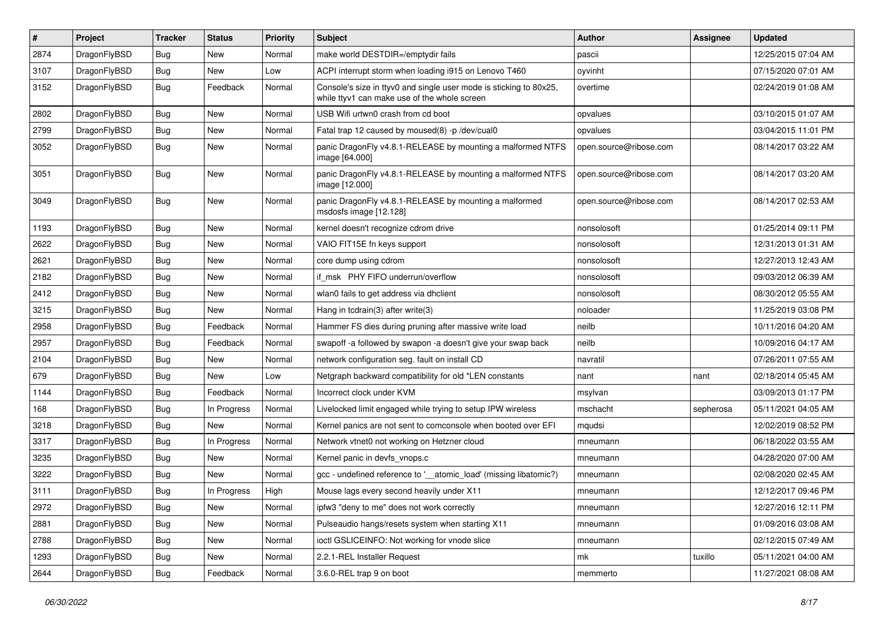| $\sharp$ | Project      | <b>Tracker</b> | <b>Status</b> | <b>Priority</b> | Subject                                                                                                            | Author                 | <b>Assignee</b> | <b>Updated</b>      |
|----------|--------------|----------------|---------------|-----------------|--------------------------------------------------------------------------------------------------------------------|------------------------|-----------------|---------------------|
| 2874     | DragonFlyBSD | <b>Bug</b>     | <b>New</b>    | Normal          | make world DESTDIR=/emptydir fails                                                                                 | pascii                 |                 | 12/25/2015 07:04 AM |
| 3107     | DragonFlyBSD | <b>Bug</b>     | New           | Low             | ACPI interrupt storm when loading i915 on Lenovo T460                                                              | oyvinht                |                 | 07/15/2020 07:01 AM |
| 3152     | DragonFlyBSD | Bug            | Feedback      | Normal          | Console's size in ttyv0 and single user mode is sticking to 80x25,<br>while ttyv1 can make use of the whole screen | overtime               |                 | 02/24/2019 01:08 AM |
| 2802     | DragonFlyBSD | Bug            | <b>New</b>    | Normal          | USB Wifi urtwn0 crash from cd boot                                                                                 | opvalues               |                 | 03/10/2015 01:07 AM |
| 2799     | DragonFlyBSD | <b>Bug</b>     | New           | Normal          | Fatal trap 12 caused by moused(8) -p/dev/cual0                                                                     | opvalues               |                 | 03/04/2015 11:01 PM |
| 3052     | DragonFlyBSD | <b>Bug</b>     | New           | Normal          | panic DragonFly v4.8.1-RELEASE by mounting a malformed NTFS<br>image [64.000]                                      | open.source@ribose.com |                 | 08/14/2017 03:22 AM |
| 3051     | DragonFlyBSD | Bug            | New           | Normal          | panic DragonFly v4.8.1-RELEASE by mounting a malformed NTFS<br>image [12.000]                                      | open.source@ribose.com |                 | 08/14/2017 03:20 AM |
| 3049     | DragonFlyBSD | Bug            | New           | Normal          | panic DragonFly v4.8.1-RELEASE by mounting a malformed<br>msdosfs image [12.128]                                   | open.source@ribose.com |                 | 08/14/2017 02:53 AM |
| 1193     | DragonFlyBSD | Bug            | <b>New</b>    | Normal          | kernel doesn't recognize cdrom drive                                                                               | nonsolosoft            |                 | 01/25/2014 09:11 PM |
| 2622     | DragonFlyBSD | <b>Bug</b>     | New           | Normal          | VAIO FIT15E fn keys support                                                                                        | nonsolosoft            |                 | 12/31/2013 01:31 AM |
| 2621     | DragonFlyBSD | <b>Bug</b>     | New           | Normal          | core dump using cdrom                                                                                              | nonsolosoft            |                 | 12/27/2013 12:43 AM |
| 2182     | DragonFlyBSD | <b>Bug</b>     | New           | Normal          | if msk PHY FIFO underrun/overflow                                                                                  | nonsolosoft            |                 | 09/03/2012 06:39 AM |
| 2412     | DragonFlyBSD | <b>Bug</b>     | New           | Normal          | wlan0 fails to get address via dhclient                                                                            | nonsolosoft            |                 | 08/30/2012 05:55 AM |
| 3215     | DragonFlyBSD | Bug            | New           | Normal          | Hang in tcdrain(3) after write(3)                                                                                  | noloader               |                 | 11/25/2019 03:08 PM |
| 2958     | DragonFlyBSD | <b>Bug</b>     | Feedback      | Normal          | Hammer FS dies during pruning after massive write load                                                             | neilb                  |                 | 10/11/2016 04:20 AM |
| 2957     | DragonFlyBSD | <b>Bug</b>     | Feedback      | Normal          | swapoff -a followed by swapon -a doesn't give your swap back                                                       | neilb                  |                 | 10/09/2016 04:17 AM |
| 2104     | DragonFlyBSD | <b>Bug</b>     | New           | Normal          | network configuration seg. fault on install CD                                                                     | navratil               |                 | 07/26/2011 07:55 AM |
| 679      | DragonFlyBSD | <b>Bug</b>     | New           | Low             | Netgraph backward compatibility for old *LEN constants                                                             | nant                   | nant            | 02/18/2014 05:45 AM |
| 1144     | DragonFlyBSD | Bug            | Feedback      | Normal          | Incorrect clock under KVM                                                                                          | msylvan                |                 | 03/09/2013 01:17 PM |
| 168      | DragonFlyBSD | <b>Bug</b>     | In Progress   | Normal          | Livelocked limit engaged while trying to setup IPW wireless                                                        | mschacht               | sepherosa       | 05/11/2021 04:05 AM |
| 3218     | DragonFlyBSD | <b>Bug</b>     | New           | Normal          | Kernel panics are not sent to comconsole when booted over EFI                                                      | mqudsi                 |                 | 12/02/2019 08:52 PM |
| 3317     | DragonFlyBSD | <b>Bug</b>     | In Progress   | Normal          | Network vtnet0 not working on Hetzner cloud                                                                        | mneumann               |                 | 06/18/2022 03:55 AM |
| 3235     | DragonFlyBSD | <b>Bug</b>     | <b>New</b>    | Normal          | Kernel panic in devfs vnops.c                                                                                      | mneumann               |                 | 04/28/2020 07:00 AM |
| 3222     | DragonFlyBSD | <b>Bug</b>     | <b>New</b>    | Normal          | gcc - undefined reference to '__atomic_load' (missing libatomic?)                                                  | mneumann               |                 | 02/08/2020 02:45 AM |
| 3111     | DragonFlyBSD | <b>Bug</b>     | In Progress   | High            | Mouse lags every second heavily under X11                                                                          | mneumann               |                 | 12/12/2017 09:46 PM |
| 2972     | DragonFlyBSD | <b>Bug</b>     | New           | Normal          | ipfw3 "deny to me" does not work correctly                                                                         | mneumann               |                 | 12/27/2016 12:11 PM |
| 2881     | DragonFlyBSD | <b>Bug</b>     | <b>New</b>    | Normal          | Pulseaudio hangs/resets system when starting X11                                                                   | mneumann               |                 | 01/09/2016 03:08 AM |
| 2788     | DragonFlyBSD | <b>Bug</b>     | New           | Normal          | ioctl GSLICEINFO: Not working for vnode slice                                                                      | mneumann               |                 | 02/12/2015 07:49 AM |
| 1293     | DragonFlyBSD | <b>Bug</b>     | New           | Normal          | 2.2.1-REL Installer Request                                                                                        | mk                     | tuxillo         | 05/11/2021 04:00 AM |
| 2644     | DragonFlyBSD | <b>Bug</b>     | Feedback      | Normal          | 3.6.0-REL trap 9 on boot                                                                                           | memmerto               |                 | 11/27/2021 08:08 AM |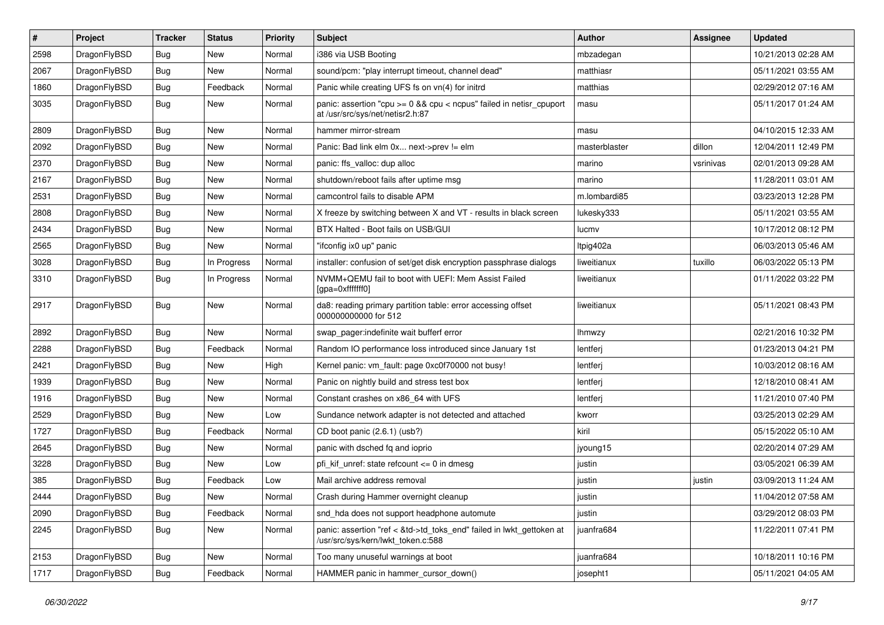| $\sharp$ | Project      | <b>Tracker</b> | <b>Status</b> | <b>Priority</b> | Subject                                                                                                    | Author        | Assignee  | <b>Updated</b>      |
|----------|--------------|----------------|---------------|-----------------|------------------------------------------------------------------------------------------------------------|---------------|-----------|---------------------|
| 2598     | DragonFlyBSD | <b>Bug</b>     | New           | Normal          | i386 via USB Booting                                                                                       | mbzadegan     |           | 10/21/2013 02:28 AM |
| 2067     | DragonFlyBSD | <b>Bug</b>     | New           | Normal          | sound/pcm: "play interrupt timeout, channel dead"                                                          | matthiasr     |           | 05/11/2021 03:55 AM |
| 1860     | DragonFlyBSD | <b>Bug</b>     | Feedback      | Normal          | Panic while creating UFS fs on vn(4) for initrd                                                            | matthias      |           | 02/29/2012 07:16 AM |
| 3035     | DragonFlyBSD | <b>Bug</b>     | New           | Normal          | panic: assertion "cpu >= 0 && cpu < ncpus" failed in netisr_cpuport<br>at /usr/src/sys/net/netisr2.h:87    | masu          |           | 05/11/2017 01:24 AM |
| 2809     | DragonFlyBSD | <b>Bug</b>     | New           | Normal          | hammer mirror-stream                                                                                       | masu          |           | 04/10/2015 12:33 AM |
| 2092     | DragonFlyBSD | <b>Bug</b>     | New           | Normal          | Panic: Bad link elm 0x next->prev != elm                                                                   | masterblaster | dillon    | 12/04/2011 12:49 PM |
| 2370     | DragonFlyBSD | <b>Bug</b>     | <b>New</b>    | Normal          | panic: ffs valloc: dup alloc                                                                               | marino        | vsrinivas | 02/01/2013 09:28 AM |
| 2167     | DragonFlyBSD | <b>Bug</b>     | New           | Normal          | shutdown/reboot fails after uptime msg                                                                     | marino        |           | 11/28/2011 03:01 AM |
| 2531     | DragonFlyBSD | <b>Bug</b>     | <b>New</b>    | Normal          | camcontrol fails to disable APM                                                                            | m.lombardi85  |           | 03/23/2013 12:28 PM |
| 2808     | DragonFlyBSD | <b>Bug</b>     | New           | Normal          | X freeze by switching between X and VT - results in black screen                                           | lukesky333    |           | 05/11/2021 03:55 AM |
| 2434     | DragonFlyBSD | <b>Bug</b>     | New           | Normal          | BTX Halted - Boot fails on USB/GUI                                                                         | lucmv         |           | 10/17/2012 08:12 PM |
| 2565     | DragonFlyBSD | <b>Bug</b>     | New           | Normal          | "ifconfig ix0 up" panic                                                                                    | Itpig402a     |           | 06/03/2013 05:46 AM |
| 3028     | DragonFlyBSD | <b>Bug</b>     | In Progress   | Normal          | installer: confusion of set/get disk encryption passphrase dialogs                                         | liweitianux   | tuxillo   | 06/03/2022 05:13 PM |
| 3310     | DragonFlyBSD | <b>Bug</b>     | In Progress   | Normal          | NVMM+QEMU fail to boot with UEFI: Mem Assist Failed<br>[gpa=0xfffffff0]                                    | liweitianux   |           | 01/11/2022 03:22 PM |
| 2917     | DragonFlyBSD | Bug            | New           | Normal          | da8: reading primary partition table: error accessing offset<br>000000000000 for 512                       | liweitianux   |           | 05/11/2021 08:43 PM |
| 2892     | DragonFlyBSD | <b>Bug</b>     | <b>New</b>    | Normal          | swap pager:indefinite wait bufferf error                                                                   | Ihmwzy        |           | 02/21/2016 10:32 PM |
| 2288     | DragonFlyBSD | <b>Bug</b>     | Feedback      | Normal          | Random IO performance loss introduced since January 1st                                                    | lentferj      |           | 01/23/2013 04:21 PM |
| 2421     | DragonFlyBSD | <b>Bug</b>     | New           | High            | Kernel panic: vm fault: page 0xc0f70000 not busy!                                                          | lentferj      |           | 10/03/2012 08:16 AM |
| 1939     | DragonFlyBSD | <b>Bug</b>     | <b>New</b>    | Normal          | Panic on nightly build and stress test box                                                                 | lentferj      |           | 12/18/2010 08:41 AM |
| 1916     | DragonFlyBSD | <b>Bug</b>     | <b>New</b>    | Normal          | Constant crashes on x86_64 with UFS                                                                        | lentferj      |           | 11/21/2010 07:40 PM |
| 2529     | DragonFlyBSD | <b>Bug</b>     | New           | Low             | Sundance network adapter is not detected and attached                                                      | kworr         |           | 03/25/2013 02:29 AM |
| 1727     | DragonFlyBSD | <b>Bug</b>     | Feedback      | Normal          | CD boot panic (2.6.1) (usb?)                                                                               | kiril         |           | 05/15/2022 05:10 AM |
| 2645     | DragonFlyBSD | <b>Bug</b>     | New           | Normal          | panic with dsched fq and ioprio                                                                            | jyoung15      |           | 02/20/2014 07:29 AM |
| 3228     | DragonFlyBSD | <b>Bug</b>     | New           | Low             | pfi_kif_unref: state refcount <= 0 in dmesg                                                                | justin        |           | 03/05/2021 06:39 AM |
| 385      | DragonFlyBSD | Bug            | Feedback      | Low             | Mail archive address removal                                                                               | justin        | justin    | 03/09/2013 11:24 AM |
| 2444     | DragonFlyBSD | Bug            | <b>New</b>    | Normal          | Crash during Hammer overnight cleanup                                                                      | justin        |           | 11/04/2012 07:58 AM |
| 2090     | DragonFlyBSD | <b>Bug</b>     | Feedback      | Normal          | snd_hda does not support headphone automute                                                                | justin        |           | 03/29/2012 08:03 PM |
| 2245     | DragonFlyBSD | Bug            | New           | Normal          | panic: assertion "ref < &td->td_toks_end" failed in lwkt_gettoken at<br>/usr/src/sys/kern/lwkt_token.c:588 | juanfra684    |           | 11/22/2011 07:41 PM |
| 2153     | DragonFlyBSD | <b>Bug</b>     | New           | Normal          | Too many unuseful warnings at boot                                                                         | juanfra684    |           | 10/18/2011 10:16 PM |
| 1717     | DragonFlyBSD | <b>Bug</b>     | Feedback      | Normal          | HAMMER panic in hammer_cursor_down()                                                                       | josepht1      |           | 05/11/2021 04:05 AM |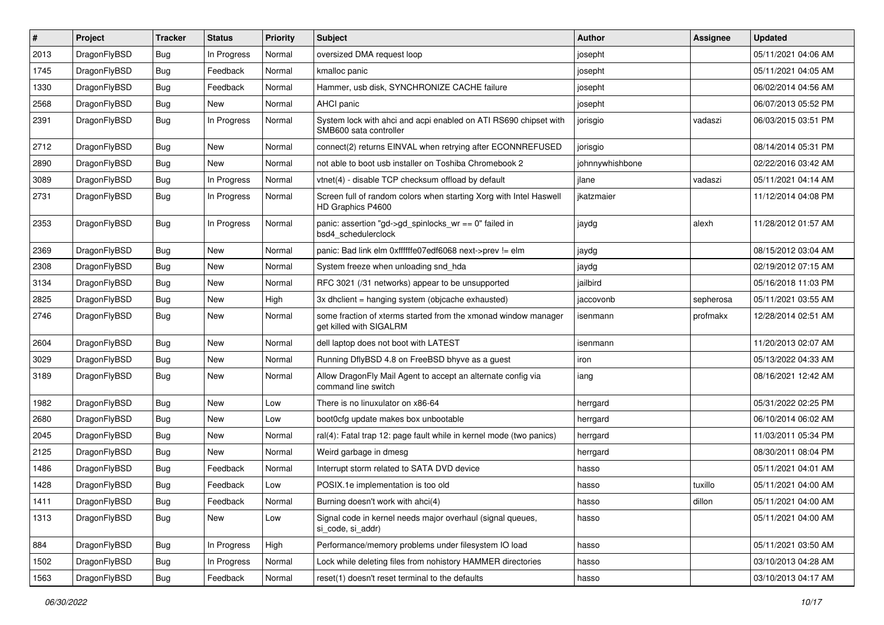| ∦    | Project      | <b>Tracker</b> | <b>Status</b> | <b>Priority</b> | <b>Subject</b>                                                                             | Author          | Assignee  | <b>Updated</b>      |
|------|--------------|----------------|---------------|-----------------|--------------------------------------------------------------------------------------------|-----------------|-----------|---------------------|
| 2013 | DragonFlyBSD | <b>Bug</b>     | In Progress   | Normal          | oversized DMA request loop                                                                 | josepht         |           | 05/11/2021 04:06 AM |
| 1745 | DragonFlyBSD | <b>Bug</b>     | Feedback      | Normal          | kmalloc panic                                                                              | josepht         |           | 05/11/2021 04:05 AM |
| 1330 | DragonFlyBSD | <b>Bug</b>     | Feedback      | Normal          | Hammer, usb disk, SYNCHRONIZE CACHE failure                                                | josepht         |           | 06/02/2014 04:56 AM |
| 2568 | DragonFlyBSD | <b>Bug</b>     | New           | Normal          | AHCI panic                                                                                 | josepht         |           | 06/07/2013 05:52 PM |
| 2391 | DragonFlyBSD | Bug            | In Progress   | Normal          | System lock with ahci and acpi enabled on ATI RS690 chipset with<br>SMB600 sata controller | jorisgio        | vadaszi   | 06/03/2015 03:51 PM |
| 2712 | DragonFlyBSD | Bug            | <b>New</b>    | Normal          | connect(2) returns EINVAL when retrying after ECONNREFUSED                                 | jorisgio        |           | 08/14/2014 05:31 PM |
| 2890 | DragonFlyBSD | <b>Bug</b>     | New           | Normal          | not able to boot usb installer on Toshiba Chromebook 2                                     | johnnywhishbone |           | 02/22/2016 03:42 AM |
| 3089 | DragonFlyBSD | Bug            | In Progress   | Normal          | vtnet(4) - disable TCP checksum offload by default                                         | jlane           | vadaszi   | 05/11/2021 04:14 AM |
| 2731 | DragonFlyBSD | <b>Bug</b>     | In Progress   | Normal          | Screen full of random colors when starting Xorg with Intel Haswell<br>HD Graphics P4600    | ikatzmaier      |           | 11/12/2014 04:08 PM |
| 2353 | DragonFlyBSD | Bug            | In Progress   | Normal          | panic: assertion "gd->gd_spinlocks_wr == 0" failed in<br>bsd4 schedulerclock               | jaydg           | alexh     | 11/28/2012 01:57 AM |
| 2369 | DragonFlyBSD | <b>Bug</b>     | New           | Normal          | panic: Bad link elm 0xffffffe07edf6068 next->prev != elm                                   | jaydg           |           | 08/15/2012 03:04 AM |
| 2308 | DragonFlyBSD | Bug            | <b>New</b>    | Normal          | System freeze when unloading snd_hda                                                       | jaydg           |           | 02/19/2012 07:15 AM |
| 3134 | DragonFlyBSD | <b>Bug</b>     | <b>New</b>    | Normal          | RFC 3021 (/31 networks) appear to be unsupported                                           | jailbird        |           | 05/16/2018 11:03 PM |
| 2825 | DragonFlyBSD | Bug            | <b>New</b>    | High            | 3x dhclient = hanging system (objcache exhausted)                                          | jaccovonb       | sepherosa | 05/11/2021 03:55 AM |
| 2746 | DragonFlyBSD | <b>Bug</b>     | <b>New</b>    | Normal          | some fraction of xterms started from the xmonad window manager<br>get killed with SIGALRM  | isenmann        | profmakx  | 12/28/2014 02:51 AM |
| 2604 | DragonFlyBSD | Bug            | <b>New</b>    | Normal          | dell laptop does not boot with LATEST                                                      | isenmann        |           | 11/20/2013 02:07 AM |
| 3029 | DragonFlyBSD | Bug            | <b>New</b>    | Normal          | Running DflyBSD 4.8 on FreeBSD bhyve as a guest                                            | iron            |           | 05/13/2022 04:33 AM |
| 3189 | DragonFlyBSD | Bug            | <b>New</b>    | Normal          | Allow DragonFly Mail Agent to accept an alternate config via<br>command line switch        | iang            |           | 08/16/2021 12:42 AM |
| 1982 | DragonFlyBSD | <b>Bug</b>     | <b>New</b>    | Low             | There is no linuxulator on x86-64                                                          | herrgard        |           | 05/31/2022 02:25 PM |
| 2680 | DragonFlyBSD | Bug            | <b>New</b>    | Low             | boot0cfg update makes box unbootable                                                       | herrgard        |           | 06/10/2014 06:02 AM |
| 2045 | DragonFlyBSD | Bug            | <b>New</b>    | Normal          | ral(4): Fatal trap 12: page fault while in kernel mode (two panics)                        | herrgard        |           | 11/03/2011 05:34 PM |
| 2125 | DragonFlyBSD | Bug            | <b>New</b>    | Normal          | Weird garbage in dmesg                                                                     | herrgard        |           | 08/30/2011 08:04 PM |
| 1486 | DragonFlyBSD | Bug            | Feedback      | Normal          | Interrupt storm related to SATA DVD device                                                 | hasso           |           | 05/11/2021 04:01 AM |
| 1428 | DragonFlyBSD | <b>Bug</b>     | Feedback      | Low             | POSIX.1e implementation is too old                                                         | hasso           | tuxillo   | 05/11/2021 04:00 AM |
| 1411 | DragonFlyBSD | <b>Bug</b>     | Feedback      | Normal          | Burning doesn't work with ahci(4)                                                          | hasso           | dillon    | 05/11/2021 04:00 AM |
| 1313 | DragonFlyBSD | <b>Bug</b>     | New           | Low             | Signal code in kernel needs major overhaul (signal queues,<br>si code, si addr)            | hasso           |           | 05/11/2021 04:00 AM |
| 884  | DragonFlyBSD | <b>Bug</b>     | In Progress   | High            | Performance/memory problems under filesystem IO load                                       | hasso           |           | 05/11/2021 03:50 AM |
| 1502 | DragonFlyBSD | Bug            | In Progress   | Normal          | Lock while deleting files from nohistory HAMMER directories                                | hasso           |           | 03/10/2013 04:28 AM |
| 1563 | DragonFlyBSD | Bug            | Feedback      | Normal          | reset(1) doesn't reset terminal to the defaults                                            | hasso           |           | 03/10/2013 04:17 AM |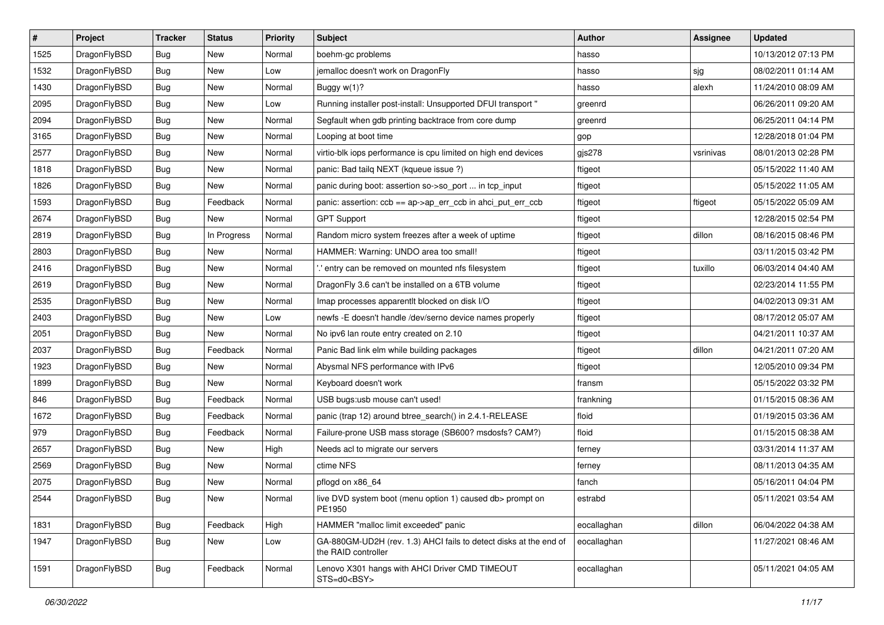| $\sharp$ | Project      | <b>Tracker</b> | <b>Status</b> | <b>Priority</b> | Subject                                                                                  | <b>Author</b> | <b>Assignee</b> | <b>Updated</b>      |
|----------|--------------|----------------|---------------|-----------------|------------------------------------------------------------------------------------------|---------------|-----------------|---------------------|
| 1525     | DragonFlyBSD | Bug            | New           | Normal          | boehm-gc problems                                                                        | hasso         |                 | 10/13/2012 07:13 PM |
| 1532     | DragonFlyBSD | Bug            | <b>New</b>    | Low             | jemalloc doesn't work on DragonFly                                                       | hasso         | sjg             | 08/02/2011 01:14 AM |
| 1430     | DragonFlyBSD | Bug            | New           | Normal          | Buggy $w(1)$ ?                                                                           | hasso         | alexh           | 11/24/2010 08:09 AM |
| 2095     | DragonFlyBSD | Bug            | New           | Low             | Running installer post-install: Unsupported DFUI transport "                             | greenrd       |                 | 06/26/2011 09:20 AM |
| 2094     | DragonFlyBSD | <b>Bug</b>     | New           | Normal          | Segfault when gdb printing backtrace from core dump                                      | greenrd       |                 | 06/25/2011 04:14 PM |
| 3165     | DragonFlyBSD | <b>Bug</b>     | New           | Normal          | Looping at boot time                                                                     | gop           |                 | 12/28/2018 01:04 PM |
| 2577     | DragonFlyBSD | <b>Bug</b>     | New           | Normal          | virtio-blk iops performance is cpu limited on high end devices                           | gjs278        | vsrinivas       | 08/01/2013 02:28 PM |
| 1818     | DragonFlyBSD | Bug            | New           | Normal          | panic: Bad tailq NEXT (kqueue issue ?)                                                   | ftigeot       |                 | 05/15/2022 11:40 AM |
| 1826     | DragonFlyBSD | <b>Bug</b>     | New           | Normal          | panic during boot: assertion so->so_port  in tcp_input                                   | ftigeot       |                 | 05/15/2022 11:05 AM |
| 1593     | DragonFlyBSD | <b>Bug</b>     | Feedback      | Normal          | panic: assertion: ccb == ap->ap_err_ccb in ahci_put_err_ccb                              | ftigeot       | ftigeot         | 05/15/2022 05:09 AM |
| 2674     | DragonFlyBSD | <b>Bug</b>     | New           | Normal          | <b>GPT Support</b>                                                                       | ftigeot       |                 | 12/28/2015 02:54 PM |
| 2819     | DragonFlyBSD | <b>Bug</b>     | In Progress   | Normal          | Random micro system freezes after a week of uptime                                       | ftigeot       | dillon          | 08/16/2015 08:46 PM |
| 2803     | DragonFlyBSD | <b>Bug</b>     | New           | Normal          | HAMMER: Warning: UNDO area too small!                                                    | ftigeot       |                 | 03/11/2015 03:42 PM |
| 2416     | DragonFlyBSD | <b>Bug</b>     | <b>New</b>    | Normal          | ".' entry can be removed on mounted nfs filesystem                                       | ftigeot       | tuxillo         | 06/03/2014 04:40 AM |
| 2619     | DragonFlyBSD | Bug            | <b>New</b>    | Normal          | DragonFly 3.6 can't be installed on a 6TB volume                                         | ftigeot       |                 | 02/23/2014 11:55 PM |
| 2535     | DragonFlyBSD | <b>Bug</b>     | New           | Normal          | Imap processes apparentlt blocked on disk I/O                                            | ftigeot       |                 | 04/02/2013 09:31 AM |
| 2403     | DragonFlyBSD | <b>Bug</b>     | New           | Low             | newfs -E doesn't handle /dev/serno device names properly                                 | ftigeot       |                 | 08/17/2012 05:07 AM |
| 2051     | DragonFlyBSD | <b>Bug</b>     | New           | Normal          | No ipv6 lan route entry created on 2.10                                                  | ftigeot       |                 | 04/21/2011 10:37 AM |
| 2037     | DragonFlyBSD | Bug            | Feedback      | Normal          | Panic Bad link elm while building packages                                               | ftigeot       | dillon          | 04/21/2011 07:20 AM |
| 1923     | DragonFlyBSD | <b>Bug</b>     | New           | Normal          | Abysmal NFS performance with IPv6                                                        | ftigeot       |                 | 12/05/2010 09:34 PM |
| 1899     | DragonFlyBSD | Bug            | New           | Normal          | Keyboard doesn't work                                                                    | fransm        |                 | 05/15/2022 03:32 PM |
| 846      | DragonFlyBSD | Bug            | Feedback      | Normal          | USB bugs:usb mouse can't used!                                                           | frankning     |                 | 01/15/2015 08:36 AM |
| 1672     | DragonFlyBSD | Bug            | Feedback      | Normal          | panic (trap 12) around btree_search() in 2.4.1-RELEASE                                   | floid         |                 | 01/19/2015 03:36 AM |
| 979      | DragonFlyBSD | <b>Bug</b>     | Feedback      | Normal          | Failure-prone USB mass storage (SB600? msdosfs? CAM?)                                    | floid         |                 | 01/15/2015 08:38 AM |
| 2657     | DragonFlyBSD | Bug            | <b>New</b>    | High            | Needs acl to migrate our servers                                                         | ferney        |                 | 03/31/2014 11:37 AM |
| 2569     | DragonFlyBSD | Bug            | New           | Normal          | ctime NFS                                                                                | ferney        |                 | 08/11/2013 04:35 AM |
| 2075     | DragonFlyBSD | Bug            | New           | Normal          | pflogd on x86 64                                                                         | fanch         |                 | 05/16/2011 04:04 PM |
| 2544     | DragonFlyBSD | <b>Bug</b>     | New           | Normal          | live DVD system boot (menu option 1) caused db> prompt on<br>PE1950                      | estrabd       |                 | 05/11/2021 03:54 AM |
| 1831     | DragonFlyBSD | <b>Bug</b>     | Feedback      | High            | HAMMER "malloc limit exceeded" panic                                                     | eocallaghan   | dillon          | 06/04/2022 04:38 AM |
| 1947     | DragonFlyBSD | Bug            | New           | Low             | GA-880GM-UD2H (rev. 1.3) AHCI fails to detect disks at the end of<br>the RAID controller | eocallaghan   |                 | 11/27/2021 08:46 AM |
| 1591     | DragonFlyBSD | Bug            | Feedback      | Normal          | Lenovo X301 hangs with AHCI Driver CMD TIMEOUT<br>STS=d0 <bsy></bsy>                     | eocallaghan   |                 | 05/11/2021 04:05 AM |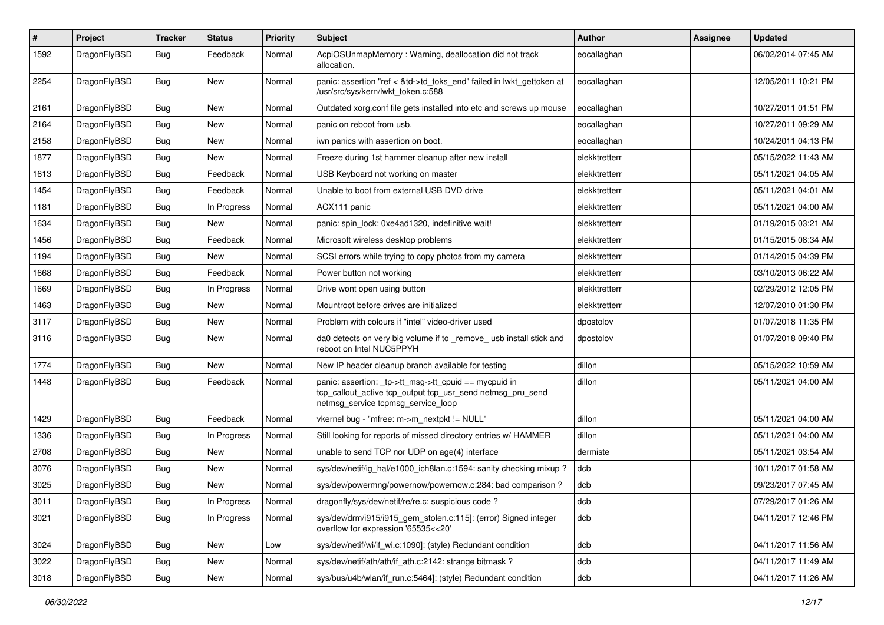| $\sharp$ | Project      | <b>Tracker</b> | <b>Status</b> | <b>Priority</b> | Subject                                                                                                                                                   | <b>Author</b> | Assignee | <b>Updated</b>      |
|----------|--------------|----------------|---------------|-----------------|-----------------------------------------------------------------------------------------------------------------------------------------------------------|---------------|----------|---------------------|
| 1592     | DragonFlyBSD | Bug            | Feedback      | Normal          | AcpiOSUnmapMemory: Warning, deallocation did not track<br>allocation.                                                                                     | eocallaghan   |          | 06/02/2014 07:45 AM |
| 2254     | DragonFlyBSD | Bug            | <b>New</b>    | Normal          | panic: assertion "ref < &td->td_toks_end" failed in lwkt_gettoken at<br>/usr/src/sys/kern/lwkt_token.c:588                                                | eocallaghan   |          | 12/05/2011 10:21 PM |
| 2161     | DragonFlyBSD | Bug            | <b>New</b>    | Normal          | Outdated xorg.conf file gets installed into etc and screws up mouse                                                                                       | eocallaghan   |          | 10/27/2011 01:51 PM |
| 2164     | DragonFlyBSD | <b>Bug</b>     | New           | Normal          | panic on reboot from usb.                                                                                                                                 | eocallaghan   |          | 10/27/2011 09:29 AM |
| 2158     | DragonFlyBSD | <b>Bug</b>     | <b>New</b>    | Normal          | iwn panics with assertion on boot.                                                                                                                        | eocallaghan   |          | 10/24/2011 04:13 PM |
| 1877     | DragonFlyBSD | <b>Bug</b>     | New           | Normal          | Freeze during 1st hammer cleanup after new install                                                                                                        | elekktretterr |          | 05/15/2022 11:43 AM |
| 1613     | DragonFlyBSD | <b>Bug</b>     | Feedback      | Normal          | USB Keyboard not working on master                                                                                                                        | elekktretterr |          | 05/11/2021 04:05 AM |
| 1454     | DragonFlyBSD | Bug            | Feedback      | Normal          | Unable to boot from external USB DVD drive                                                                                                                | elekktretterr |          | 05/11/2021 04:01 AM |
| 1181     | DragonFlyBSD | <b>Bug</b>     | In Progress   | Normal          | ACX111 panic                                                                                                                                              | elekktretterr |          | 05/11/2021 04:00 AM |
| 1634     | DragonFlyBSD | <b>Bug</b>     | <b>New</b>    | Normal          | panic: spin lock: 0xe4ad1320, indefinitive wait!                                                                                                          | elekktretterr |          | 01/19/2015 03:21 AM |
| 1456     | DragonFlyBSD | <b>Bug</b>     | Feedback      | Normal          | Microsoft wireless desktop problems                                                                                                                       | elekktretterr |          | 01/15/2015 08:34 AM |
| 1194     | DragonFlyBSD | <b>Bug</b>     | <b>New</b>    | Normal          | SCSI errors while trying to copy photos from my camera                                                                                                    | elekktretterr |          | 01/14/2015 04:39 PM |
| 1668     | DragonFlyBSD | <b>Bug</b>     | Feedback      | Normal          | Power button not working                                                                                                                                  | elekktretterr |          | 03/10/2013 06:22 AM |
| 1669     | DragonFlyBSD | <b>Bug</b>     | In Progress   | Normal          | Drive wont open using button                                                                                                                              | elekktretterr |          | 02/29/2012 12:05 PM |
| 1463     | DragonFlyBSD | <b>Bug</b>     | New           | Normal          | Mountroot before drives are initialized                                                                                                                   | elekktretterr |          | 12/07/2010 01:30 PM |
| 3117     | DragonFlyBSD | <b>Bug</b>     | <b>New</b>    | Normal          | Problem with colours if "intel" video-driver used                                                                                                         | dpostolov     |          | 01/07/2018 11:35 PM |
| 3116     | DragonFlyBSD | Bug            | <b>New</b>    | Normal          | da0 detects on very big volume if to _remove_ usb install stick and<br>reboot on Intel NUC5PPYH                                                           | dpostolov     |          | 01/07/2018 09:40 PM |
| 1774     | DragonFlyBSD | Bug            | <b>New</b>    | Normal          | New IP header cleanup branch available for testing                                                                                                        | dillon        |          | 05/15/2022 10:59 AM |
| 1448     | DragonFlyBSD | <b>Bug</b>     | Feedback      | Normal          | panic: assertion: _tp->tt_msg->tt_cpuid == mycpuid in<br>tcp_callout_active tcp_output tcp_usr_send netmsg_pru_send<br>netmsg_service tcpmsg_service_loop | dillon        |          | 05/11/2021 04:00 AM |
| 1429     | DragonFlyBSD | Bug            | Feedback      | Normal          | vkernel bug - "mfree: m->m_nextpkt != NULL"                                                                                                               | dillon        |          | 05/11/2021 04:00 AM |
| 1336     | DragonFlyBSD | Bug            | In Progress   | Normal          | Still looking for reports of missed directory entries w/ HAMMER                                                                                           | dillon        |          | 05/11/2021 04:00 AM |
| 2708     | DragonFlyBSD | <b>Bug</b>     | New           | Normal          | unable to send TCP nor UDP on age(4) interface                                                                                                            | dermiste      |          | 05/11/2021 03:54 AM |
| 3076     | DragonFlyBSD | <b>Bug</b>     | <b>New</b>    | Normal          | sys/dev/netif/ig_hal/e1000_ich8lan.c:1594: sanity checking mixup?                                                                                         | dcb           |          | 10/11/2017 01:58 AM |
| 3025     | DragonFlyBSD | Bug            | <b>New</b>    | Normal          | sys/dev/powermng/powernow/powernow.c:284: bad comparison?                                                                                                 | dcb           |          | 09/23/2017 07:45 AM |
| 3011     | DragonFlyBSD | <b>Bug</b>     | In Progress   | Normal          | dragonfly/sys/dev/netif/re/re.c: suspicious code ?                                                                                                        | dcb           |          | 07/29/2017 01:26 AM |
| 3021     | DragonFlyBSD | <b>Bug</b>     | In Progress   | Normal          | sys/dev/drm/i915/i915_gem_stolen.c:115]: (error) Signed integer<br>overflow for expression '65535<<20'                                                    | dcb           |          | 04/11/2017 12:46 PM |
| 3024     | DragonFlyBSD | <b>Bug</b>     | New           | Low             | sys/dev/netif/wi/if_wi.c:1090]: (style) Redundant condition                                                                                               | dcb           |          | 04/11/2017 11:56 AM |
| 3022     | DragonFlyBSD | Bug            | New           | Normal          | sys/dev/netif/ath/ath/if ath.c:2142: strange bitmask?                                                                                                     | dcb           |          | 04/11/2017 11:49 AM |
| 3018     | DragonFlyBSD | <b>Bug</b>     | New           | Normal          | sys/bus/u4b/wlan/if_run.c:5464]: (style) Redundant condition                                                                                              | dcb           |          | 04/11/2017 11:26 AM |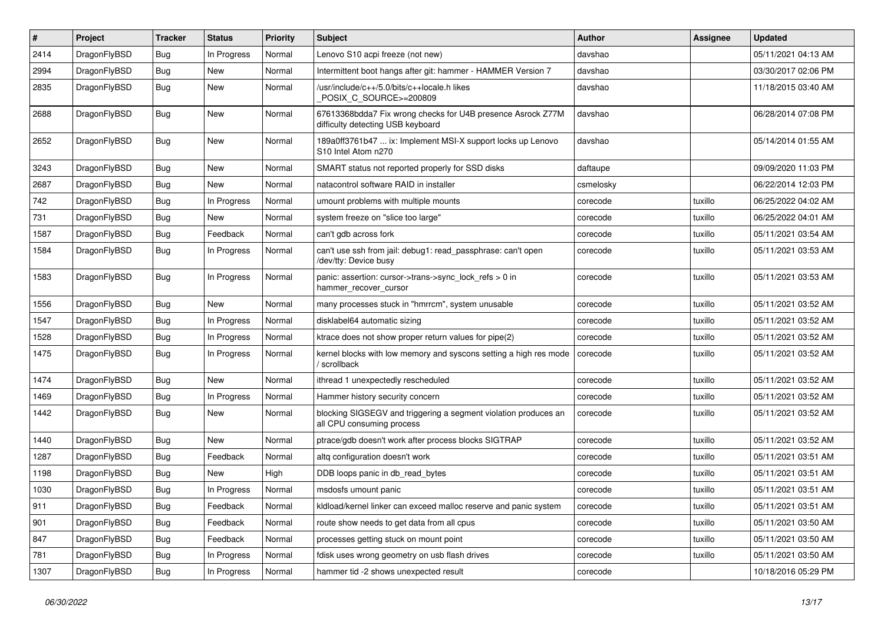| #    | Project      | <b>Tracker</b> | <b>Status</b> | <b>Priority</b> | Subject                                                                                                    | <b>Author</b> | <b>Assignee</b> | <b>Updated</b>      |
|------|--------------|----------------|---------------|-----------------|------------------------------------------------------------------------------------------------------------|---------------|-----------------|---------------------|
| 2414 | DragonFlyBSD | Bug            | In Progress   | Normal          | Lenovo S10 acpi freeze (not new)                                                                           | davshao       |                 | 05/11/2021 04:13 AM |
| 2994 | DragonFlyBSD | <b>Bug</b>     | <b>New</b>    | Normal          | Intermittent boot hangs after git: hammer - HAMMER Version 7                                               | davshao       |                 | 03/30/2017 02:06 PM |
| 2835 | DragonFlyBSD | Bug            | New           | Normal          | /usr/include/c++/5.0/bits/c++locale.h likes<br>POSIX_C_SOURCE>=200809                                      | davshao       |                 | 11/18/2015 03:40 AM |
| 2688 | DragonFlyBSD | <b>Bug</b>     | New           | Normal          | 67613368bdda7 Fix wrong checks for U4B presence Asrock Z77M<br>difficulty detecting USB keyboard           | davshao       |                 | 06/28/2014 07:08 PM |
| 2652 | DragonFlyBSD | Bug            | New           | Normal          | 189a0ff3761b47  ix: Implement MSI-X support locks up Lenovo<br>S <sub>10</sub> Intel Atom n <sub>270</sub> | davshao       |                 | 05/14/2014 01:55 AM |
| 3243 | DragonFlyBSD | Bug            | <b>New</b>    | Normal          | SMART status not reported properly for SSD disks                                                           | daftaupe      |                 | 09/09/2020 11:03 PM |
| 2687 | DragonFlyBSD | Bug            | New           | Normal          | natacontrol software RAID in installer                                                                     | csmelosky     |                 | 06/22/2014 12:03 PM |
| 742  | DragonFlyBSD | <b>Bug</b>     | In Progress   | Normal          | umount problems with multiple mounts                                                                       | corecode      | tuxillo         | 06/25/2022 04:02 AM |
| 731  | DragonFlyBSD | Bug            | New           | Normal          | system freeze on "slice too large"                                                                         | corecode      | tuxillo         | 06/25/2022 04:01 AM |
| 1587 | DragonFlyBSD | Bug            | Feedback      | Normal          | can't gdb across fork                                                                                      | corecode      | tuxillo         | 05/11/2021 03:54 AM |
| 1584 | DragonFlyBSD | Bug            | In Progress   | Normal          | can't use ssh from jail: debug1: read_passphrase: can't open<br>/dev/tty: Device busy                      | corecode      | tuxillo         | 05/11/2021 03:53 AM |
| 1583 | DragonFlyBSD | <b>Bug</b>     | In Progress   | Normal          | panic: assertion: cursor->trans->sync_lock_refs > 0 in<br>hammer_recover_cursor                            | corecode      | tuxillo         | 05/11/2021 03:53 AM |
| 1556 | DragonFlyBSD | Bug            | New           | Normal          | many processes stuck in "hmrrcm", system unusable                                                          | corecode      | tuxillo         | 05/11/2021 03:52 AM |
| 1547 | DragonFlyBSD | Bug            | In Progress   | Normal          | disklabel64 automatic sizing                                                                               | corecode      | tuxillo         | 05/11/2021 03:52 AM |
| 1528 | DragonFlyBSD | <b>Bug</b>     | In Progress   | Normal          | ktrace does not show proper return values for pipe(2)                                                      | corecode      | tuxillo         | 05/11/2021 03:52 AM |
| 1475 | DragonFlyBSD | Bug            | In Progress   | Normal          | kernel blocks with low memory and syscons setting a high res mode<br>/ scrollback                          | corecode      | tuxillo         | 05/11/2021 03:52 AM |
| 1474 | DragonFlyBSD | Bug            | New           | Normal          | ithread 1 unexpectedly rescheduled                                                                         | corecode      | tuxillo         | 05/11/2021 03:52 AM |
| 1469 | DragonFlyBSD | Bug            | In Progress   | Normal          | Hammer history security concern                                                                            | corecode      | tuxillo         | 05/11/2021 03:52 AM |
| 1442 | DragonFlyBSD | Bug            | New           | Normal          | blocking SIGSEGV and triggering a segment violation produces an<br>all CPU consuming process               | corecode      | tuxillo         | 05/11/2021 03:52 AM |
| 1440 | DragonFlyBSD | Bug            | <b>New</b>    | Normal          | ptrace/gdb doesn't work after process blocks SIGTRAP                                                       | corecode      | tuxillo         | 05/11/2021 03:52 AM |
| 1287 | DragonFlyBSD | Bug            | Feedback      | Normal          | altq configuration doesn't work                                                                            | corecode      | tuxillo         | 05/11/2021 03:51 AM |
| 1198 | DragonFlyBSD | Bug            | New           | High            | DDB loops panic in db read bytes                                                                           | corecode      | tuxillo         | 05/11/2021 03:51 AM |
| 1030 | DragonFlyBSD | Bug            | In Progress   | Normal          | msdosfs umount panic                                                                                       | corecode      | tuxillo         | 05/11/2021 03:51 AM |
| 911  | DragonFlyBSD | <b>Bug</b>     | Feedback      | Normal          | kldload/kernel linker can exceed malloc reserve and panic system                                           | corecode      | tuxillo         | 05/11/2021 03:51 AM |
| 901  | DragonFlyBSD | <b>Bug</b>     | Feedback      | Normal          | route show needs to get data from all cpus                                                                 | corecode      | tuxillo         | 05/11/2021 03:50 AM |
| 847  | DragonFlyBSD | <b>Bug</b>     | Feedback      | Normal          | processes getting stuck on mount point                                                                     | corecode      | tuxillo         | 05/11/2021 03:50 AM |
| 781  | DragonFlyBSD | <b>Bug</b>     | In Progress   | Normal          | fdisk uses wrong geometry on usb flash drives                                                              | corecode      | tuxillo         | 05/11/2021 03:50 AM |
| 1307 | DragonFlyBSD | <b>Bug</b>     | In Progress   | Normal          | hammer tid -2 shows unexpected result                                                                      | corecode      |                 | 10/18/2016 05:29 PM |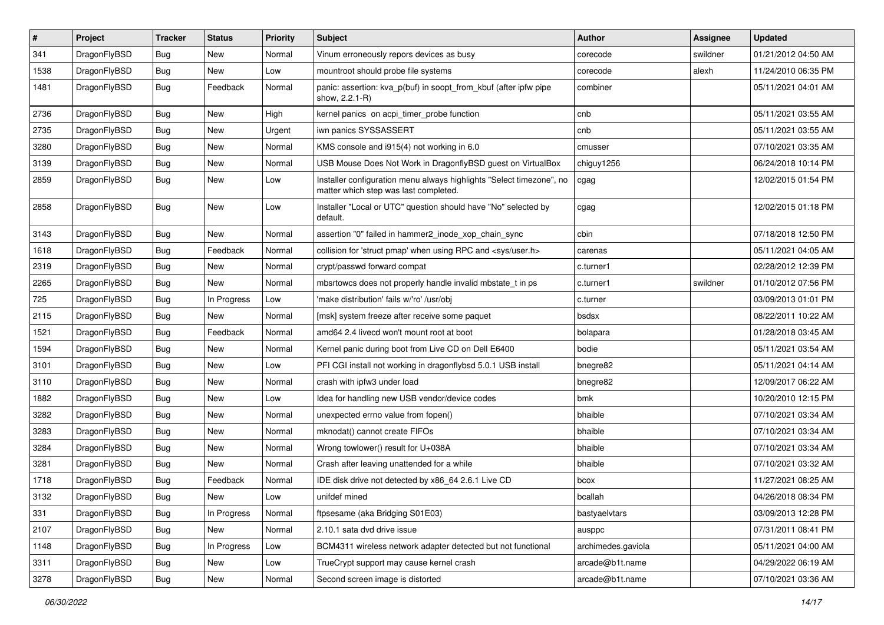| $\sharp$ | Project      | <b>Tracker</b> | <b>Status</b> | <b>Priority</b> | Subject                                                                                                       | <b>Author</b>      | Assignee | <b>Updated</b>      |
|----------|--------------|----------------|---------------|-----------------|---------------------------------------------------------------------------------------------------------------|--------------------|----------|---------------------|
| 341      | DragonFlyBSD | <b>Bug</b>     | New           | Normal          | Vinum erroneously repors devices as busy                                                                      | corecode           | swildner | 01/21/2012 04:50 AM |
| 1538     | DragonFlyBSD | Bug            | New           | Low             | mountroot should probe file systems                                                                           | corecode           | alexh    | 11/24/2010 06:35 PM |
| 1481     | DragonFlyBSD | <b>Bug</b>     | Feedback      | Normal          | panic: assertion: kva_p(buf) in soopt_from_kbuf (after ipfw pipe<br>show, 2.2.1-R)                            | combiner           |          | 05/11/2021 04:01 AM |
| 2736     | DragonFlyBSD | Bug            | <b>New</b>    | High            | kernel panics on acpi_timer_probe function                                                                    | cnb                |          | 05/11/2021 03:55 AM |
| 2735     | DragonFlyBSD | <b>Bug</b>     | New           | Urgent          | iwn panics SYSSASSERT                                                                                         | cnb                |          | 05/11/2021 03:55 AM |
| 3280     | DragonFlyBSD | <b>Bug</b>     | New           | Normal          | KMS console and i915(4) not working in 6.0                                                                    | cmusser            |          | 07/10/2021 03:35 AM |
| 3139     | DragonFlyBSD | <b>Bug</b>     | New           | Normal          | USB Mouse Does Not Work in DragonflyBSD guest on VirtualBox                                                   | chiguy1256         |          | 06/24/2018 10:14 PM |
| 2859     | DragonFlyBSD | <b>Bug</b>     | New           | Low             | Installer configuration menu always highlights "Select timezone", no<br>matter which step was last completed. | cgag               |          | 12/02/2015 01:54 PM |
| 2858     | DragonFlyBSD | Bug            | <b>New</b>    | Low             | Installer "Local or UTC" question should have "No" selected by<br>default.                                    | cgag               |          | 12/02/2015 01:18 PM |
| 3143     | DragonFlyBSD | Bug            | <b>New</b>    | Normal          | assertion "0" failed in hammer2_inode_xop_chain_sync                                                          | cbin               |          | 07/18/2018 12:50 PM |
| 1618     | DragonFlyBSD | <b>Bug</b>     | Feedback      | Normal          | collision for 'struct pmap' when using RPC and <sys user.h=""></sys>                                          | carenas            |          | 05/11/2021 04:05 AM |
| 2319     | DragonFlyBSD | <b>Bug</b>     | New           | Normal          | crypt/passwd forward compat                                                                                   | c.turner1          |          | 02/28/2012 12:39 PM |
| 2265     | DragonFlyBSD | <b>Bug</b>     | New           | Normal          | mbsrtowcs does not properly handle invalid mbstate t in ps                                                    | c.turner1          | swildner | 01/10/2012 07:56 PM |
| 725      | DragonFlyBSD | <b>Bug</b>     | In Progress   | Low             | 'make distribution' fails w/'ro' /usr/obj                                                                     | c.turner           |          | 03/09/2013 01:01 PM |
| 2115     | DragonFlyBSD | Bug            | New           | Normal          | [msk] system freeze after receive some paquet                                                                 | bsdsx              |          | 08/22/2011 10:22 AM |
| 1521     | DragonFlyBSD | Bug            | Feedback      | Normal          | amd64 2.4 livecd won't mount root at boot                                                                     | bolapara           |          | 01/28/2018 03:45 AM |
| 1594     | DragonFlyBSD | Bug            | <b>New</b>    | Normal          | Kernel panic during boot from Live CD on Dell E6400                                                           | bodie              |          | 05/11/2021 03:54 AM |
| 3101     | DragonFlyBSD | Bug            | New           | Low             | PFI CGI install not working in dragonflybsd 5.0.1 USB install                                                 | bnegre82           |          | 05/11/2021 04:14 AM |
| 3110     | DragonFlyBSD | Bug            | <b>New</b>    | Normal          | crash with ipfw3 under load                                                                                   | bnegre82           |          | 12/09/2017 06:22 AM |
| 1882     | DragonFlyBSD | Bug            | <b>New</b>    | Low             | Idea for handling new USB vendor/device codes                                                                 | bmk                |          | 10/20/2010 12:15 PM |
| 3282     | DragonFlyBSD | Bug            | <b>New</b>    | Normal          | unexpected errno value from fopen()                                                                           | bhaible            |          | 07/10/2021 03:34 AM |
| 3283     | DragonFlyBSD | Bug            | New           | Normal          | mknodat() cannot create FIFOs                                                                                 | bhaible            |          | 07/10/2021 03:34 AM |
| 3284     | DragonFlyBSD | Bug            | <b>New</b>    | Normal          | Wrong towlower() result for U+038A                                                                            | bhaible            |          | 07/10/2021 03:34 AM |
| 3281     | DragonFlyBSD | Bug            | New           | Normal          | Crash after leaving unattended for a while                                                                    | bhaible            |          | 07/10/2021 03:32 AM |
| 1718     | DragonFlyBSD | Bug            | Feedback      | Normal          | IDE disk drive not detected by x86_64 2.6.1 Live CD                                                           | bcox               |          | 11/27/2021 08:25 AM |
| 3132     | DragonFlyBSD | Bug            | <b>New</b>    | Low             | unifdef mined                                                                                                 | bcallah            |          | 04/26/2018 08:34 PM |
| 331      | DragonFlyBSD | <b>Bug</b>     | In Progress   | Normal          | ftpsesame (aka Bridging S01E03)                                                                               | bastyaelvtars      |          | 03/09/2013 12:28 PM |
| 2107     | DragonFlyBSD | <b>Bug</b>     | New           | Normal          | 2.10.1 sata dvd drive issue                                                                                   | ausppc             |          | 07/31/2011 08:41 PM |
| 1148     | DragonFlyBSD | Bug            | In Progress   | Low             | BCM4311 wireless network adapter detected but not functional                                                  | archimedes.gaviola |          | 05/11/2021 04:00 AM |
| 3311     | DragonFlyBSD | <b>Bug</b>     | New           | Low             | TrueCrypt support may cause kernel crash                                                                      | arcade@b1t.name    |          | 04/29/2022 06:19 AM |
| 3278     | DragonFlyBSD | <b>Bug</b>     | New           | Normal          | Second screen image is distorted                                                                              | arcade@b1t.name    |          | 07/10/2021 03:36 AM |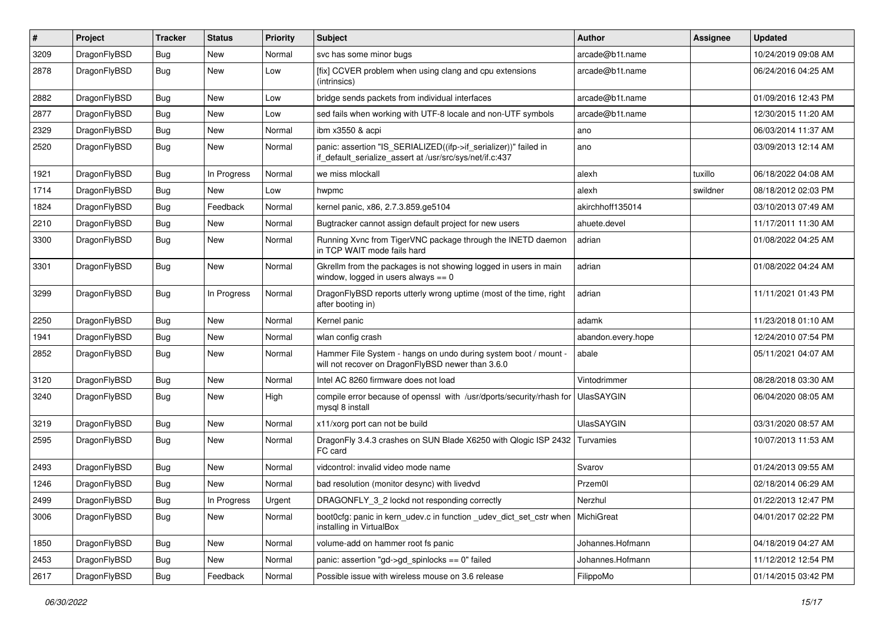| #    | Project      | <b>Tracker</b> | <b>Status</b> | <b>Priority</b> | Subject                                                                                                                      | <b>Author</b>      | Assignee | <b>Updated</b>      |
|------|--------------|----------------|---------------|-----------------|------------------------------------------------------------------------------------------------------------------------------|--------------------|----------|---------------------|
| 3209 | DragonFlyBSD | Bug            | <b>New</b>    | Normal          | svc has some minor bugs                                                                                                      | arcade@b1t.name    |          | 10/24/2019 09:08 AM |
| 2878 | DragonFlyBSD | <b>Bug</b>     | New           | Low             | [fix] CCVER problem when using clang and cpu extensions<br>(intrinsics)                                                      | arcade@b1t.name    |          | 06/24/2016 04:25 AM |
| 2882 | DragonFlyBSD | Bug            | New           | Low             | bridge sends packets from individual interfaces                                                                              | arcade@b1t.name    |          | 01/09/2016 12:43 PM |
| 2877 | DragonFlyBSD | Bug            | New           | Low             | sed fails when working with UTF-8 locale and non-UTF symbols                                                                 | arcade@b1t.name    |          | 12/30/2015 11:20 AM |
| 2329 | DragonFlyBSD | Bug            | New           | Normal          | ibm x3550 & acpi                                                                                                             | ano                |          | 06/03/2014 11:37 AM |
| 2520 | DragonFlyBSD | Bug            | New           | Normal          | panic: assertion "IS_SERIALIZED((ifp->if_serializer))" failed in<br>if_default_serialize_assert at /usr/src/sys/net/if.c:437 | ano                |          | 03/09/2013 12:14 AM |
| 1921 | DragonFlyBSD | Bug            | In Progress   | Normal          | we miss mlockall                                                                                                             | alexh              | tuxillo  | 06/18/2022 04:08 AM |
| 1714 | DragonFlyBSD | Bug            | New           | Low             | hwpmc                                                                                                                        | alexh              | swildner | 08/18/2012 02:03 PM |
| 1824 | DragonFlyBSD | Bug            | Feedback      | Normal          | kernel panic, x86, 2.7.3.859.ge5104                                                                                          | akirchhoff135014   |          | 03/10/2013 07:49 AM |
| 2210 | DragonFlyBSD | Bug            | New           | Normal          | Bugtracker cannot assign default project for new users                                                                       | ahuete.devel       |          | 11/17/2011 11:30 AM |
| 3300 | DragonFlyBSD | Bug            | New           | Normal          | Running Xvnc from TigerVNC package through the INETD daemon<br>in TCP WAIT mode fails hard                                   | adrian             |          | 01/08/2022 04:25 AM |
| 3301 | DragonFlyBSD | Bug            | New           | Normal          | Gkrellm from the packages is not showing logged in users in main<br>window, logged in users always $== 0$                    | adrian             |          | 01/08/2022 04:24 AM |
| 3299 | DragonFlyBSD | Bug            | In Progress   | Normal          | DragonFlyBSD reports utterly wrong uptime (most of the time, right<br>after booting in)                                      | adrian             |          | 11/11/2021 01:43 PM |
| 2250 | DragonFlyBSD | Bug            | New           | Normal          | Kernel panic                                                                                                                 | adamk              |          | 11/23/2018 01:10 AM |
| 1941 | DragonFlyBSD | Bug            | <b>New</b>    | Normal          | wlan config crash                                                                                                            | abandon.every.hope |          | 12/24/2010 07:54 PM |
| 2852 | DragonFlyBSD | Bug            | New           | Normal          | Hammer File System - hangs on undo during system boot / mount -<br>will not recover on DragonFlyBSD newer than 3.6.0         | abale              |          | 05/11/2021 04:07 AM |
| 3120 | DragonFlyBSD | Bug            | <b>New</b>    | Normal          | Intel AC 8260 firmware does not load                                                                                         | Vintodrimmer       |          | 08/28/2018 03:30 AM |
| 3240 | DragonFlyBSD | Bug            | <b>New</b>    | High            | compile error because of openssl with /usr/dports/security/rhash for<br>mysql 8 install                                      | <b>UlasSAYGIN</b>  |          | 06/04/2020 08:05 AM |
| 3219 | DragonFlyBSD | Bug            | New           | Normal          | x11/xorg port can not be build                                                                                               | <b>UlasSAYGIN</b>  |          | 03/31/2020 08:57 AM |
| 2595 | DragonFlyBSD | Bug            | New           | Normal          | DragonFly 3.4.3 crashes on SUN Blade X6250 with Qlogic ISP 2432<br>FC card                                                   | Turvamies          |          | 10/07/2013 11:53 AM |
| 2493 | DragonFlyBSD | Bug            | New           | Normal          | vidcontrol: invalid video mode name                                                                                          | Svarov             |          | 01/24/2013 09:55 AM |
| 1246 | DragonFlyBSD | <b>Bug</b>     | New           | Normal          | bad resolution (monitor desync) with livedvd                                                                                 | Przem0l            |          | 02/18/2014 06:29 AM |
| 2499 | DragonFlyBSD | <b>Bug</b>     | In Progress   | Urgent          | DRAGONFLY_3_2 lockd not responding correctly                                                                                 | Nerzhul            |          | 01/22/2013 12:47 PM |
| 3006 | DragonFlyBSD | Bug            | New           | Normal          | boot Ocfg: panic in kern udev.c in function udev dict set cstr when<br>installing in VirtualBox                              | MichiGreat         |          | 04/01/2017 02:22 PM |
| 1850 | DragonFlyBSD | Bug            | <b>New</b>    | Normal          | volume-add on hammer root fs panic                                                                                           | Johannes.Hofmann   |          | 04/18/2019 04:27 AM |
| 2453 | DragonFlyBSD | <b>Bug</b>     | New           | Normal          | panic: assertion "gd->gd_spinlocks == 0" failed                                                                              | Johannes.Hofmann   |          | 11/12/2012 12:54 PM |
| 2617 | DragonFlyBSD | <b>Bug</b>     | Feedback      | Normal          | Possible issue with wireless mouse on 3.6 release                                                                            | FilippoMo          |          | 01/14/2015 03:42 PM |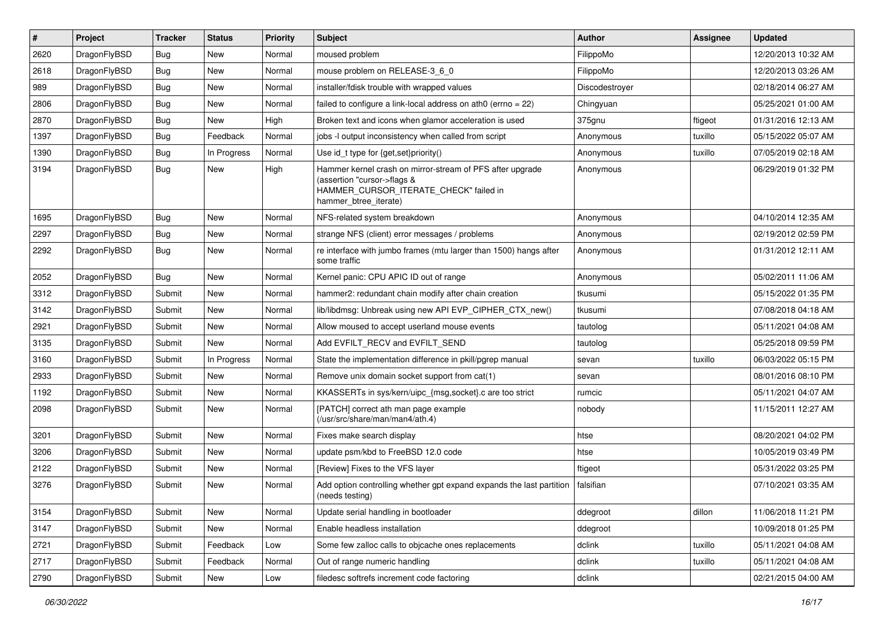| $\vert$ # | Project      | <b>Tracker</b> | <b>Status</b> | <b>Priority</b> | Subject                                                                                                                                                     | <b>Author</b>  | <b>Assignee</b> | <b>Updated</b>      |
|-----------|--------------|----------------|---------------|-----------------|-------------------------------------------------------------------------------------------------------------------------------------------------------------|----------------|-----------------|---------------------|
| 2620      | DragonFlyBSD | Bug            | New           | Normal          | moused problem                                                                                                                                              | FilippoMo      |                 | 12/20/2013 10:32 AM |
| 2618      | DragonFlyBSD | Bug            | <b>New</b>    | Normal          | mouse problem on RELEASE-3_6_0                                                                                                                              | FilippoMo      |                 | 12/20/2013 03:26 AM |
| 989       | DragonFlyBSD | <b>Bug</b>     | <b>New</b>    | Normal          | installer/fdisk trouble with wrapped values                                                                                                                 | Discodestroyer |                 | 02/18/2014 06:27 AM |
| 2806      | DragonFlyBSD | <b>Bug</b>     | New           | Normal          | failed to configure a link-local address on ath0 (errno = 22)                                                                                               | Chingyuan      |                 | 05/25/2021 01:00 AM |
| 2870      | DragonFlyBSD | Bug            | <b>New</b>    | High            | Broken text and icons when glamor acceleration is used                                                                                                      | 375gnu         | ftigeot         | 01/31/2016 12:13 AM |
| 1397      | DragonFlyBSD | <b>Bug</b>     | Feedback      | Normal          | jobs -I output inconsistency when called from script                                                                                                        | Anonymous      | tuxillo         | 05/15/2022 05:07 AM |
| 1390      | DragonFlyBSD | <b>Bug</b>     | In Progress   | Normal          | Use id_t type for {get,set}priority()                                                                                                                       | Anonymous      | tuxillo         | 07/05/2019 02:18 AM |
| 3194      | DragonFlyBSD | Bug            | <b>New</b>    | High            | Hammer kernel crash on mirror-stream of PFS after upgrade<br>(assertion "cursor->flags &<br>HAMMER_CURSOR_ITERATE_CHECK" failed in<br>hammer_btree_iterate) | Anonymous      |                 | 06/29/2019 01:32 PM |
| 1695      | DragonFlyBSD | <b>Bug</b>     | <b>New</b>    | Normal          | NFS-related system breakdown                                                                                                                                | Anonymous      |                 | 04/10/2014 12:35 AM |
| 2297      | DragonFlyBSD | Bug            | New           | Normal          | strange NFS (client) error messages / problems                                                                                                              | Anonymous      |                 | 02/19/2012 02:59 PM |
| 2292      | DragonFlyBSD | <b>Bug</b>     | New           | Normal          | re interface with jumbo frames (mtu larger than 1500) hangs after<br>some traffic                                                                           | Anonymous      |                 | 01/31/2012 12:11 AM |
| 2052      | DragonFlyBSD | Bug            | <b>New</b>    | Normal          | Kernel panic: CPU APIC ID out of range                                                                                                                      | Anonymous      |                 | 05/02/2011 11:06 AM |
| 3312      | DragonFlyBSD | Submit         | <b>New</b>    | Normal          | hammer2: redundant chain modify after chain creation                                                                                                        | tkusumi        |                 | 05/15/2022 01:35 PM |
| 3142      | DragonFlyBSD | Submit         | <b>New</b>    | Normal          | lib/libdmsg: Unbreak using new API EVP CIPHER CTX new()                                                                                                     | tkusumi        |                 | 07/08/2018 04:18 AM |
| 2921      | DragonFlyBSD | Submit         | <b>New</b>    | Normal          | Allow moused to accept userland mouse events                                                                                                                | tautolog       |                 | 05/11/2021 04:08 AM |
| 3135      | DragonFlyBSD | Submit         | New           | Normal          | Add EVFILT_RECV and EVFILT_SEND                                                                                                                             | tautolog       |                 | 05/25/2018 09:59 PM |
| 3160      | DragonFlyBSD | Submit         | In Progress   | Normal          | State the implementation difference in pkill/pgrep manual                                                                                                   | sevan          | tuxillo         | 06/03/2022 05:15 PM |
| 2933      | DragonFlyBSD | Submit         | New           | Normal          | Remove unix domain socket support from cat(1)                                                                                                               | sevan          |                 | 08/01/2016 08:10 PM |
| 1192      | DragonFlyBSD | Submit         | New           | Normal          | KKASSERTs in sys/kern/uipc_{msg,socket}.c are too strict                                                                                                    | rumcic         |                 | 05/11/2021 04:07 AM |
| 2098      | DragonFlyBSD | Submit         | New           | Normal          | [PATCH] correct ath man page example<br>(/usr/src/share/man/man4/ath.4)                                                                                     | nobody         |                 | 11/15/2011 12:27 AM |
| 3201      | DragonFlyBSD | Submit         | <b>New</b>    | Normal          | Fixes make search display                                                                                                                                   | htse           |                 | 08/20/2021 04:02 PM |
| 3206      | DragonFlyBSD | Submit         | New           | Normal          | update psm/kbd to FreeBSD 12.0 code                                                                                                                         | htse           |                 | 10/05/2019 03:49 PM |
| 2122      | DragonFlyBSD | Submit         | New           | Normal          | [Review] Fixes to the VFS layer                                                                                                                             | ftigeot        |                 | 05/31/2022 03:25 PM |
| 3276      | DragonFlyBSD | Submit         | New           | Normal          | Add option controlling whether gpt expand expands the last partition<br>(needs testing)                                                                     | falsifian      |                 | 07/10/2021 03:35 AM |
| 3154      | DragonFlyBSD | Submit         | <b>New</b>    | Normal          | Update serial handling in bootloader                                                                                                                        | ddegroot       | dillon          | 11/06/2018 11:21 PM |
| 3147      | DragonFlyBSD | Submit         | New           | Normal          | Enable headless installation                                                                                                                                | ddegroot       |                 | 10/09/2018 01:25 PM |
| 2721      | DragonFlyBSD | Submit         | Feedback      | Low             | Some few zalloc calls to objcache ones replacements                                                                                                         | dclink         | tuxillo         | 05/11/2021 04:08 AM |
| 2717      | DragonFlyBSD | Submit         | Feedback      | Normal          | Out of range numeric handling                                                                                                                               | dclink         | tuxillo         | 05/11/2021 04:08 AM |
| 2790      | DragonFlyBSD | Submit         | New           | Low             | filedesc softrefs increment code factoring                                                                                                                  | dclink         |                 | 02/21/2015 04:00 AM |